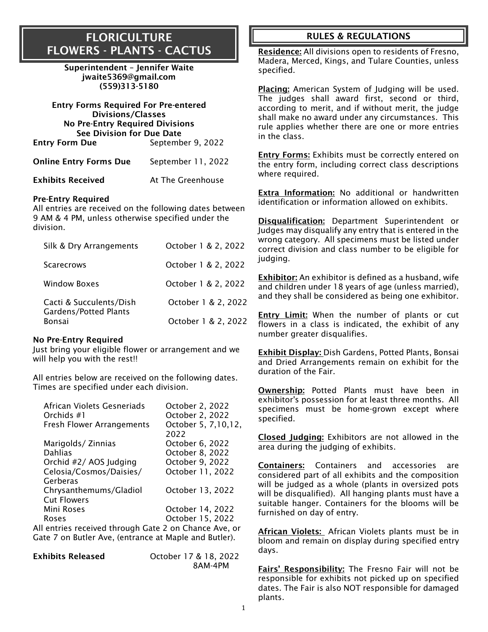### FLORICULTURE FLOWERS - PLANTS - CACTUS

Superintendent – Jennifer Waite [jwaite5369@gmail.com](mailto:theodorescribner@gmail.com) [\(559\)313-5180](mailto:theodorescribner@gmail.com)

| <b>Entry Forms Required For Pre-entered</b><br><b>Divisions/Classes</b>    |                    |
|----------------------------------------------------------------------------|--------------------|
| <b>No Pre-Entry Required Divisions</b><br><b>See Division for Due Date</b> |                    |
| <b>Entry Form Due</b>                                                      | September 9, 2022  |
| <b>Online Entry Forms Due</b>                                              | September 11, 2022 |

**Exhibits Received At The Greenhouse** 

#### Pre-Entry Required

All entries are received on the following dates between 9 AM & 4 PM, unless otherwise specified under the division.

| Silk & Dry Arrangements                                 | October 1 & 2, 2022 |
|---------------------------------------------------------|---------------------|
| <b>Scarecrows</b>                                       | October 1 & 2, 2022 |
| <b>Window Boxes</b>                                     | October 1 & 2, 2022 |
| Cacti & Succulents/Dish<br><b>Gardens/Potted Plants</b> | October 1 & 2, 2022 |
| <b>Bonsai</b>                                           | October 1 & 2, 2022 |

#### No Pre-Entry Required

Just bring your eligible flower or arrangement and we will help you with the rest!!

All entries below are received on the following dates. Times are specified under each division.

| African Violets Gesneriads                        | October 2, 2022       |
|---------------------------------------------------|-----------------------|
| Orchids #1                                        | October 2, 2022       |
| <b>Fresh Flower Arrangements</b>                  | October 5, 7, 10, 12, |
|                                                   | 2022                  |
| Marigolds/Zinnias                                 | October 6, 2022       |
| <b>Dahlias</b>                                    | October 8, 2022       |
| Orchid #2/ AOS Judging                            | October 9, 2022       |
| Celosia/Cosmos/Daisies/                           | October 11, 2022      |
| Gerberas                                          |                       |
| Chrysanthemums/Gladiol                            | October 13, 2022      |
| <b>Cut Flowers</b>                                |                       |
| Mini Roses                                        | October 14, 2022      |
| Roses                                             | October 15, 2022      |
| Lantrica rocciund through Cota 3 an Chance Ave ar |                       |

All entries received through Gate 2 on Chance Ave, or Gate 7 on Butler Ave, (entrance at Maple and Butler).

Exhibits Released October 17 & 18, 2022 8AM-4PM

### RULES & REGULATIONS

Residence: All divisions open to residents of Fresno, Madera, Merced, Kings, and Tulare Counties, unless specified.

Placing: American System of Judging will be used. The judges shall award first, second or third, according to merit, and if without merit, the judge shall make no award under any circumstances. This rule applies whether there are one or more entries in the class.

Entry Forms: Exhibits must be correctly entered on the entry form, including correct class descriptions where required.

Extra Information: No additional or handwritten identification or information allowed on exhibits.

Disqualification: Department Superintendent or Judges may disqualify any entry that is entered in the wrong category. All specimens must be listed under correct division and class number to be eligible for judging.

Exhibitor: An exhibitor is defined as a husband, wife and children under 18 years of age (unless married), and they shall be considered as being one exhibitor.

Entry Limit: When the number of plants or cut flowers in a class is indicated, the exhibit of any number greater disqualifies.

Exhibit Display: Dish Gardens, Potted Plants, Bonsai and Dried Arrangements remain on exhibit for the duration of the Fair.

Ownership: Potted Plants must have been in exhibitor's possession for at least three months. All specimens must be home-grown except where specified.

Closed Judging: Exhibitors are not allowed in the area during the judging of exhibits.

Containers: Containers and accessories are considered part of all exhibits and the composition will be judged as a whole (plants in oversized pots will be disqualified). All hanging plants must have a suitable hanger. Containers for the blooms will be furnished on day of entry.

African Violets: African Violets plants must be in bloom and remain on display during specified entry days.

Fairs' Responsibility: The Fresno Fair will not be responsible for exhibits not picked up on specified dates. The Fair is also NOT responsible for damaged plants.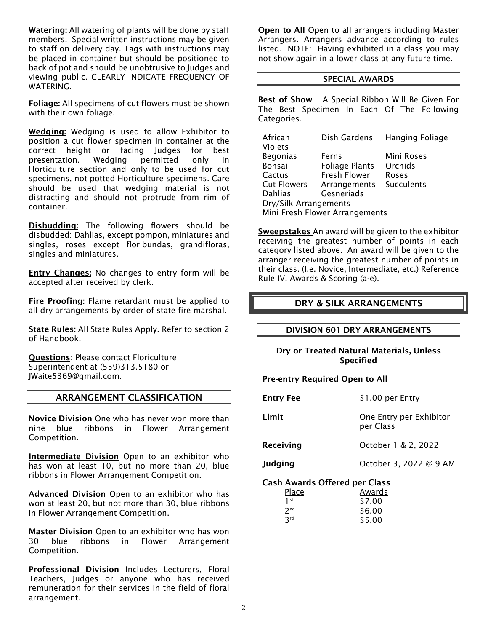Watering: All watering of plants will be done by staff members. Special written instructions may be given to staff on delivery day. Tags with instructions may be placed in container but should be positioned to back of pot and should be unobtrusive to Judges and viewing public. CLEARLY INDICATE FREQUENCY OF WATERING.

Foliage: All specimens of cut flowers must be shown with their own foliage.

Wedging: Wedging is used to allow Exhibitor to position a cut flower specimen in container at the correct height or facing Judges for best presentation. Wedging permitted only in Horticulture section and only to be used for cut specimens, not potted Horticulture specimens. Care should be used that wedging material is not distracting and should not protrude from rim of container.

Disbudding: The following flowers should be disbudded: Dahlias, except pompon, miniatures and singles, roses except floribundas, grandifloras, singles and miniatures.

**Entry Changes:** No changes to entry form will be accepted after received by clerk.

Fire Proofing: Flame retardant must be applied to all dry arrangements by order of state fire marshal.

State Rules: All State Rules Apply. Refer to section 2 of Handbook.

Questions: Please contact Floriculture Superintendent at (559)313.5180 or JWaite5369@gmail.com.

#### ARRANGEMENT CLASSIFICATION

Novice Division One who has never won more than nine blue ribbons in Flower Arrangement Competition.

**Intermediate Division** Open to an exhibitor who has won at least 10, but no more than 20, blue ribbons in Flower Arrangement Competition.

Advanced Division Open to an exhibitor who has won at least 20, but not more than 30, blue ribbons in Flower Arrangement Competition.

Master Division Open to an exhibitor who has won 30 blue ribbons in Flower Arrangement Competition.

**Professional Division Includes Lecturers, Floral** Teachers, Judges or anyone who has received remuneration for their services in the field of floral arrangement.

Open to All Open to all arrangers including Master Arrangers. Arrangers advance according to rules listed. NOTE: Having exhibited in a class you may not show again in a lower class at any future time.

#### SPECIAL AWARDS

Best of Show A Special Ribbon Will Be Given For The Best Specimen In Each Of The Following Categories.

| African                        | Dish Gardens          | <b>Hanging Foliage</b> |
|--------------------------------|-----------------------|------------------------|
| Violets                        |                       |                        |
| <b>Begonias</b>                | Ferns                 | Mini Roses             |
| Bonsai                         | <b>Foliage Plants</b> | Orchids                |
| Cactus                         | Fresh Flower          | Roses                  |
| <b>Cut Flowers</b>             | Arrangements          | Succulents             |
| <b>Dahlias</b>                 | Gesneriads            |                        |
| Dry/Silk Arrangements          |                       |                        |
| Mini Fresh Flower Arrangements |                       |                        |

Sweepstakes An award will be given to the exhibitor receiving the greatest number of points in each category listed above. An award will be given to the arranger receiving the greatest number of points in their class. (I.e. Novice, Intermediate, etc.) Reference Rule IV, Awards & Scoring (a-e).

#### DRY & SILK ARRANGEMENTS

#### DIVISION 601 DRY ARRANGEMENTS

Dry or Treated Natural Materials, Unless Specified

#### Pre-entry Required Open to All

| <b>Entry Fee</b>                     | \$1.00 per Entry                     |
|--------------------------------------|--------------------------------------|
| Limit                                | One Entry per Exhibitor<br>per Class |
| Receiving                            | October 1 & 2, 2022                  |
| <b>Judging</b>                       | October 3, 2022 @ 9 AM               |
| <b>Cash Awards Offered per Class</b> |                                      |

| Place           | Awards |
|-----------------|--------|
| 1 <sup>st</sup> | \$7.00 |
| 2 <sub>nd</sub> | \$6.00 |
| 3rd             | \$5.00 |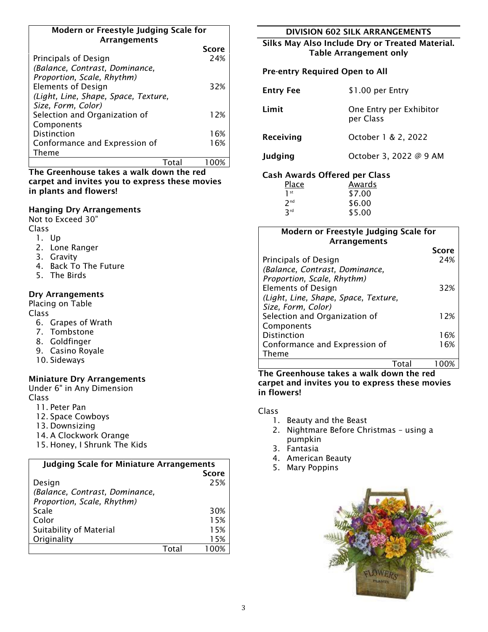#### Modern or Freestyle Judging Scale for Arrangements

|                                      | <b>Score</b> |
|--------------------------------------|--------------|
| Principals of Design                 | 24%          |
| (Balance, Contrast, Dominance,       |              |
| Proportion, Scale, Rhythm)           |              |
| <b>Elements of Design</b>            | 32%          |
| (Light, Line, Shape, Space, Texture, |              |
| Size, Form, Color)                   |              |
| Selection and Organization of        | 12%          |
| Components                           |              |
| <b>Distinction</b>                   | 16%          |
| Conformance and Expression of        | 16%          |
| Theme                                |              |
|                                      |              |

The Greenhouse takes a walk down the red carpet and invites you to express these movies in plants and flowers!

#### Hanging Dry Arrangements

Not to Exceed 30"

Class

- 1. Up
- 2. Lone Ranger
- 3. Gravity
- 4. Back To The Future
- 5. The Birds

#### Dry Arrangements

Placing on Table

Class

- 6. Grapes of Wrath
- 7. Tombstone
- 8. Goldfinger
- 9. Casino Royale
- 10. Sideways

#### Miniature Dry Arrangements

Under 6" in Any Dimension Class

11. Peter Pan

- 12. Space Cowboys
- 13. Downsizing
- 14. A Clockwork Orange
- 15. Honey, I Shrunk The Kids

| <b>Judging Scale for Miniature Arrangements</b> |       |              |
|-------------------------------------------------|-------|--------------|
|                                                 |       | <b>Score</b> |
| Design                                          |       | 25%          |
| (Balance, Contrast, Dominance,                  |       |              |
| Proportion, Scale, Rhythm)                      |       |              |
| Scale                                           |       | 30%          |
| Color                                           |       | 15%          |
| Suitability of Material                         |       | 15%          |
| Originality                                     |       | 15%          |
|                                                 | Total |              |

#### DIVISION 602 SILK ARRANGEMENTS

Silks May Also Include Dry or Treated Material. Table Arrangement only

#### Pre-entry Required Open to All

| <b>Entry Fee</b>                                                                       | \$1.00 per Entry                     |
|----------------------------------------------------------------------------------------|--------------------------------------|
| Limit                                                                                  | One Entry per Exhibitor<br>per Class |
| Receiving                                                                              | October 1 & 2, 2022                  |
| Judging                                                                                | October 3, 2022 @ 9 AM               |
| $C_{\text{max}}$ because the $\triangle$ $C_{\text{max}}$ denotes the $C_{\text{max}}$ |                                      |

#### Cash Awards Offered per Class

| Place           | Awards |
|-----------------|--------|
| 1 <sup>st</sup> | \$7.00 |
| 2 <sub>nd</sub> | \$6.00 |
| 3rd             | \$5.00 |
|                 |        |

#### Modern or Freestyle Judging Scale for Arrangements

|                                      | Score |
|--------------------------------------|-------|
| Principals of Design                 | 24%   |
| (Balance, Contrast, Dominance,       |       |
| Proportion, Scale, Rhythm)           |       |
| <b>Elements of Design</b>            | 32%   |
| (Light, Line, Shape, Space, Texture, |       |
| Size, Form, Color)                   |       |
| Selection and Organization of        | 12%   |
| Components                           |       |
| <b>Distinction</b>                   | 16%   |
| Conformance and Expression of        | 16%   |
| Theme                                |       |

#### Total 100% The Greenhouse takes a walk down the red carpet and invites you to express these movies in flowers!

- 1. Beauty and the Beast
- 2. Nightmare Before Christmas using a pumpkin
- 3. Fantasia
- 4. American Beauty
- 5. Mary Poppins

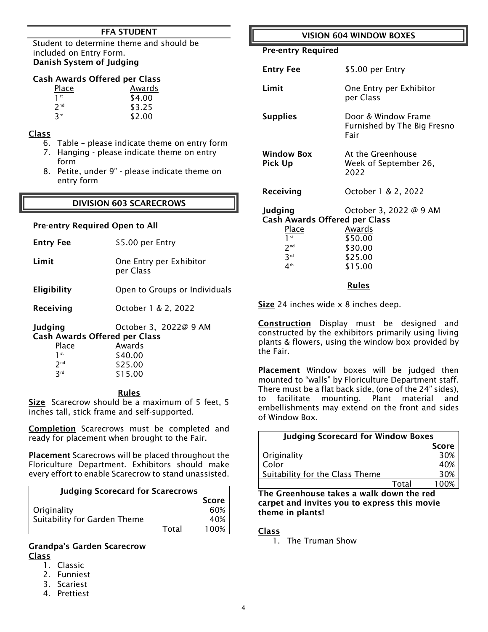#### FFA STUDENT

Student to determine theme and should be included on Entry Form. Danish System of Judging

#### Cash Awards Offered per Class

| Place                  | Awards |
|------------------------|--------|
| 1 <sup>st</sup>        | \$4.00 |
| 2 <sub>nd</sub>        | \$3.25 |
| <b>R</b> <sup>rd</sup> | \$2.00 |

#### Class

- 6. Table please indicate theme on entry form
- 7. Hanging please indicate theme on entry form
- 8. Petite, under 9" please indicate theme on entry form

#### DIVISION 603 SCARECROWS

#### Pre-entry Required Open to All

| <b>Entry Fee</b> | \$5.00 per Entry                     |
|------------------|--------------------------------------|
| Limit            | One Entry per Exhibitor<br>per Class |

Eligibility Open to Groups or Individuals

Receiving **October 1 & 2, 2022** 

Judging October 3, 2022@ 9 AM Cash Awards Offered per Class

| Awards  |
|---------|
| \$40.00 |
| \$25.00 |
| \$15.00 |
|         |

#### Rules

Size Scarecrow should be a maximum of 5 feet, 5 inches tall, stick frame and self-supported.

Completion Scarecrows must be completed and ready for placement when brought to the Fair.

Placement Scarecrows will be placed throughout the Floriculture Department. Exhibitors should make every effort to enable Scarecrow to stand unassisted.

| <b>Judging Scorecard for Scarecrows</b> |       |  |
|-----------------------------------------|-------|--|
|                                         | Score |  |
| Originality                             | 60%   |  |
| Suitability for Garden Theme            | 40%   |  |
| Total                                   | 100%  |  |

#### Grandpa's Garden Scarecrow Class

- 1. Classic
- 2. Funniest
- 3. Scariest
- 4. Prettiest

#### VISION 604 WINDOW BOXES

Pre-entry Required

| <b>Entry Fee</b>                                                                                                                            | \$5.00 per Entry                                                                             |  |
|---------------------------------------------------------------------------------------------------------------------------------------------|----------------------------------------------------------------------------------------------|--|
| Limit                                                                                                                                       | One Entry per Exhibitor<br>per Class                                                         |  |
| <b>Supplies</b>                                                                                                                             | Door & Window Frame<br>Furnished by The Big Fresno<br>Fair                                   |  |
| <b>Window Box</b><br><b>Pick Up</b>                                                                                                         | At the Greenhouse<br>Week of September 26,<br>2022                                           |  |
| Receiving                                                                                                                                   | October 1 & 2, 2022                                                                          |  |
| <b>Judging</b><br><b>Cash Awards Offered per Class</b><br>Place<br>1 <sup>st</sup><br>2 <sup>nd</sup><br>3 <sup>rd</sup><br>4 <sup>th</sup> | October 3, 2022 @ 9 AM<br>Awards<br>\$50.00<br>\$30.00<br>\$25.00<br>\$15.00<br><b>Rules</b> |  |
| Size 24 inches wide x 8 inches deep.                                                                                                        |                                                                                              |  |

Construction Display must be designed and constructed by the exhibitors primarily using living plants & flowers, using the window box provided by the Fair.

Placement Window boxes will be judged then mounted to "walls" by Floriculture Department staff. There must be a flat back side, (one of the 24" sides), to facilitate mounting. Plant material and embellishments may extend on the front and sides of Window Box.

| <b>Judging Scorecard for Window Boxes</b> |       |              |
|-------------------------------------------|-------|--------------|
|                                           |       | <b>Score</b> |
| Originality                               |       | 30%          |
| Color                                     |       | 40%          |
| Suitability for the Class Theme           |       | 30%          |
|                                           | Total | 100%         |

The Greenhouse takes a walk down the red carpet and invites you to express this movie theme in plants!

#### Class

1. The Truman Show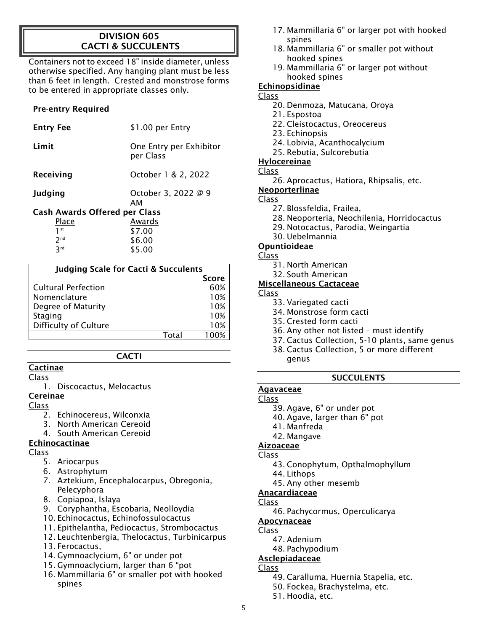### DIVISION 605 CACTI & SUCCULENTS

Containers not to exceed 18" inside diameter, unless otherwise specified. Any hanging plant must be less than 6 feet in length. Crested and monstrose forms to be entered in appropriate classes only.

### Pre-entry Required

| <b>Entry Fee</b>                     | \$1.00 per Entry                     |
|--------------------------------------|--------------------------------------|
| Limit                                | One Entry per Exhibitor<br>per Class |
| Receiving                            | October 1 & 2, 2022                  |
| <b>Judging</b>                       | October 3, 2022 @ 9<br>AМ            |
| <b>Cash Awards Offered per Class</b> |                                      |
| <b>Place</b>                         | Awards                               |
| $1$ st                               | \$7.00                               |
| 2 <sup>nd</sup>                      | \$6.00                               |

| <b>Judging Scale for Cacti &amp; Succulents</b> |              |  |
|-------------------------------------------------|--------------|--|
|                                                 | <b>Score</b> |  |
| <b>Cultural Perfection</b>                      | 60%          |  |
| Nomenclature                                    | 10%          |  |
| Degree of Maturity                              | 10%          |  |
| <b>Staging</b>                                  | 10%          |  |
| <b>Difficulty of Culture</b>                    | 10%          |  |
| Total                                           |              |  |

\$5.00

**CACTI** 

### **Cactinae**

 $2rd$ 

#### Class

1. Discocactus, Melocactus

#### Cereinae

### Class

- 2. Echinocereus, Wilconxia
- 3. North American Cereoid
- 4. South American Cereoid

### Echinocactinae

### Class

- 5. Ariocarpus
- 6. Astrophytum
- 7. Aztekium, Encephalocarpus, Obregonia, Pelecyphora
- 8. Copiapoa, Islaya
- 9. Coryphantha, Escobaria, Neolloydia
- 10. Echinocactus, Echinofossulocactus
- 11. Epithelantha, Pediocactus, Strombocactus
- 12. Leuchtenbergia, Thelocactus, Turbinicarpus
- 13. Ferocactus,
- 14. Gymnoaclycium, 6" or under pot
- 15. Gymnoaclycium, larger than 6 "pot
- 16. Mammillaria 6" or smaller pot with hooked spines
- 17. Mammillaria 6" or larger pot with hooked spines
- 18. Mammillaria 6" or smaller pot without hooked spines
- 19. Mammillaria 6" or larger pot without hooked spines

### Echinopsidinae

### Class

- 20. Denmoza, Matucana, Oroya
- 21. Espostoa
- 22. Cleistocactus, Oreocereus
- 23. Echinopsis
- 24. Lobivia, Acanthocalycium
- 25. Rebutia, Sulcorebutia

### Hylocereinae

### Class

26. Aprocactus, Hatiora, Rhipsalis, etc.

### **Neoporterlinae**

- Class
	- 27. Blossfeldia, Frailea,
	- 28. Neoporteria, Neochilenia, Horridocactus
	- 29. Notocactus, Parodia, Weingartia
	- 30. Uebelmannia

### Opuntioideae

### Class

- 31. North American
- 32. South American

### Miscellaneous Cactaceae

### Class

- 33. Variegated cacti
- 34. Monstrose form cacti
- 35. Crested form cacti
- 36. Any other not listed must identify
- 37. Cactus Collection, 5-10 plants, same genus 38. Cactus Collection, 5 or more different
	- genus

### **SUCCULENTS**

### Agavaceae

### Class

- 39. Agave, 6" or under pot
- 40. Agave, larger than 6" pot
- 41. Manfreda
- 42. Mangave

### Aizoaceae

- Class
	- 43. Conophytum, Opthalmophyllum
	- 44. Lithops
	- 45. Any other mesemb

#### Anacardiaceae Class

46. Pachycormus, Operculicarya

### Apocynaceae

### Class

- 47. Adenium
- 48. Pachypodium

### Asclepiadaceae

- Class
	- 49. Caralluma, Huernia Stapelia, etc.
	- 50. Fockea, Brachystelma, etc.
	- 51. Hoodia, etc.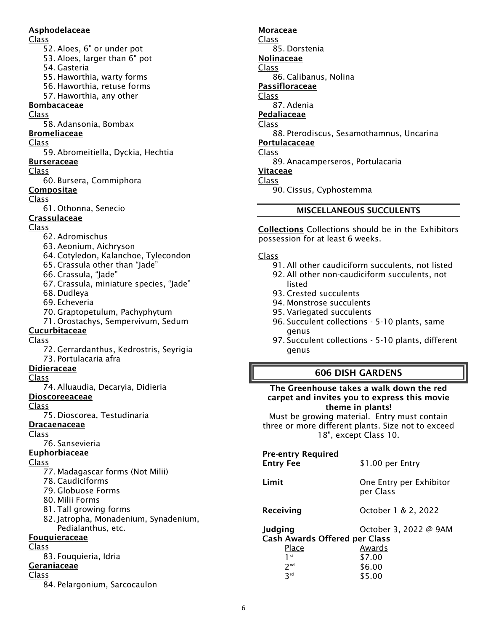#### Asphodelaceae

Class

- 52. Aloes, 6" or under pot
- 53. Aloes, larger than 6" pot

54. Gasteria

- 55. Haworthia, warty forms
- 56. Haworthia, retuse forms
- 57. Haworthia, any other

### **Bombacaceae**

Class

58. Adansonia, Bombax

#### Bromeliaceae

Class

59. Abromeitiella, Dyckia, Hechtia

#### **Burseraceae**

Class

60. Bursera, Commiphora

#### Compositae

Class

61. Othonna, Senecio

### Crassulaceae

### Class

- 62. Adromischus
- 63. Aeonium, Aichryson
- 64. Cotyledon, Kalanchoe, Tylecondon
- 65. Crassula other than "Jade"
- 66. Crassula, "Jade"
- 67. Crassula, miniature species, "Jade"
- 68. Dudleya
- 69. Echeveria
- 70. Graptopetulum, Pachyphytum
- 71. Orostachys, Sempervivum, Sedum

#### Cucurbitaceae

Class

72. Gerrardanthus, Kedrostris, Seyrigia 73. Portulacaria afra

#### Didieraceae

#### Class

74. Alluaudia, Decaryia, Didieria

#### Dioscoreeaceae

Class

75. Dioscorea, Testudinaria

#### **Dracaenaceae**

Class

76. Sansevieria

#### Euphorbiaceae

#### Class

- 77. Madagascar forms (Not Milii)
- 78. Caudiciforms
- 79. Globuose Forms
- 80. Milii Forms
- 81. Tall growing forms
- 82. Jatropha, Monadenium, Synadenium, Pedialanthus, etc.

### Fouquieraceae

#### Class

83. Fouquieria, Idria

#### Geraniaceae

Class

84. Pelargonium, Sarcocaulon

#### Moraceae

Class 85. Dorstenia

- Nolinaceae Class
- 86. Calibanus, Nolina
- Passifloraceae
- Class
	- 87. Adenia

**Pedaliaceae** 

#### Class

- 88. Pterodiscus, Sesamothamnus, Uncarina
- Portulacaceae

#### Class

89. Anacamperseros, Portulacaria

#### Vitaceae

### Class

90. Cissus, Cyphostemma

#### MISCELLANEOUS SUCCULENTS

Collections Collections should be in the Exhibitors possession for at least 6 weeks.

#### Class

- 91. All other caudiciform succulents, not listed
- 92. All other non-caudiciform succulents, not listed
- 93. Crested succulents
- 94. Monstrose succulents
- 95. Variegated succulents
- 96. Succulent collections 5-10 plants, same genus
- 97. Succulent collections 5-10 plants, different genus

#### 606 DISH GARDENS

#### The Greenhouse takes a walk down the red carpet and invites you to express this movie theme in plants!

Must be growing material. Entry must contain three or more different plants. Size not to exceed 18", except Class 10.

### Pre-entry Required

| imit |  |  |  |
|------|--|--|--|

Entry Fee \$1.00 per Entry

#### Limit One Entry per Exhibitor per Class

Receiving **December 1 & 2, 2022** 

#### Judging October 3, 2022 @ 9AM

Cash Awards Offered per Class

| Awards |
|--------|
| \$7.00 |
| \$6.00 |
| \$5.00 |
|        |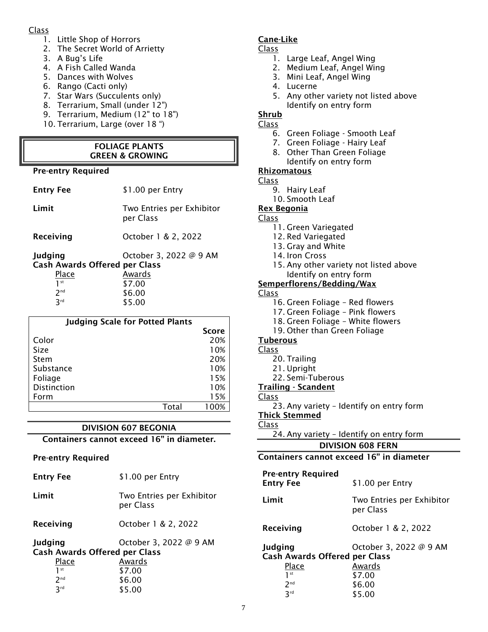#### Class

- 1. Little Shop of Horrors
- 2. The Secret World of Arrietty
- 3. A Bug's Life
- 4. A Fish Called Wanda
- 5. Dances with Wolves
- 6. Rango (Cacti only)
- 7. Star Wars (Succulents only)
- 8. Terrarium, Small (under 12")
- 9. Terrarium, Medium (12" to 18")
- 10. Terrarium, Large (over 18 ")

#### FOLIAGE PLANTS GREEN & GROWING

#### Pre-entry Required

| <b>Entry Fee</b> | \$1.00 per Entry             |  |  |
|------------------|------------------------------|--|--|
|                  | - 天のことに、日本のあるのは、このことを、日本のある。 |  |  |

| Limit | Two Entries per Exhibitor |
|-------|---------------------------|
|       | per Class                 |
|       |                           |

| Receiving | October 1 & 2, 2022 |  |
|-----------|---------------------|--|
|           |                     |  |

| Judging                              | October 3, 2022 @ 9 AM |
|--------------------------------------|------------------------|
| <b>Cash Awards Offered per Class</b> |                        |
| Place                                | Awards                 |
| 1 st                                 | \$7.00                 |
| 2 <sub>nd</sub>                      | \$6.00                 |
| 2rd                                  | \$5.00                 |
|                                      |                        |

| <b>Judging Scale for Potted Plants</b> |              |
|----------------------------------------|--------------|
|                                        | <b>Score</b> |
| Color                                  | 20%          |
| Size                                   | 10%          |
| Stem                                   | 20%          |
| Substance                              | 10%          |
| Foliage                                | 15%          |
| <b>Distinction</b>                     | 10%          |
| Form                                   | 15%          |
| Total                                  | በበ%          |

### DIVISION 607 BEGONIA

Containers cannot exceed 16" in diameter.

#### Pre-entry Required

 $3<sup>rd</sup>$ 

| <b>Entry Fee</b>                                | \$1.00 per Entry                       |
|-------------------------------------------------|----------------------------------------|
| Limit                                           | Two Entries per Exhibitor<br>per Class |
| Receiving                                       | October 1 & 2, 2022                    |
| Judging<br><b>Cash Awards Offered per Class</b> | October 3, 2022 @ 9 AM                 |
| Place                                           | Awards                                 |
| 1st                                             | \$7.00                                 |
| 2 <sub>nd</sub>                                 | \$6.00                                 |

 $$5.00$ 

### Cane-Like

- Class
	- 1. Large Leaf, Angel Wing
	- 2. Medium Leaf, Angel Wing
	- 3. Mini Leaf, Angel Wing
	- 4. Lucerne
	- 5. Any other variety not listed above Identify on entry form
- **Shrub**

#### Class

- 6. Green Foliage Smooth Leaf
- 7. Green Foliage Hairy Leaf
- 8. Other Than Green Foliage
- Identify on entry form

### Rhizomatous

- Class
	- 9. Hairy Leaf
- 10. Smooth Leaf Rex Begonia

## Class

- 11. Green Variegated
- 
- 12. Red Variegated
- 13. Gray and White
- 14. Iron Cross
- 15. Any other variety not listed above Identify on entry form

#### Semperflorens/Bedding/Wax

#### Class

- 16. Green Foliage Red flowers
- 17. Green Foliage Pink flowers
- 18. Green Foliage White flowers
- 19. Other than Green Foliage

#### Tuberous

#### Class

- 20. Trailing
- 21. Upright
- 22. Semi-Tuberous

#### Trailing - Scandent

- Class
	- 23. Any variety Identify on entry form

#### Thick Stemmed

- Class
	- 24. Any variety Identify on entry form

#### DIVISION 608 FERN

### Containers cannot exceed 16" in diameter

| <b>Pre-entry Required</b><br><b>Entry Fee</b>                                                    | \$1.00 per Entry                                               |
|--------------------------------------------------------------------------------------------------|----------------------------------------------------------------|
| Limit                                                                                            | Two Entries per Exhibitor<br>per Class                         |
| Receiving                                                                                        | October 1 & 2, 2022                                            |
| Judging<br><b>Cash Awards Offered per Class</b><br>Place<br>1st<br>2 <sub>nd</sub><br><b>Rrd</b> | October 3, 2022 @ 9 AM<br>Awards<br>\$7.00<br>\$6.00<br>\$5.00 |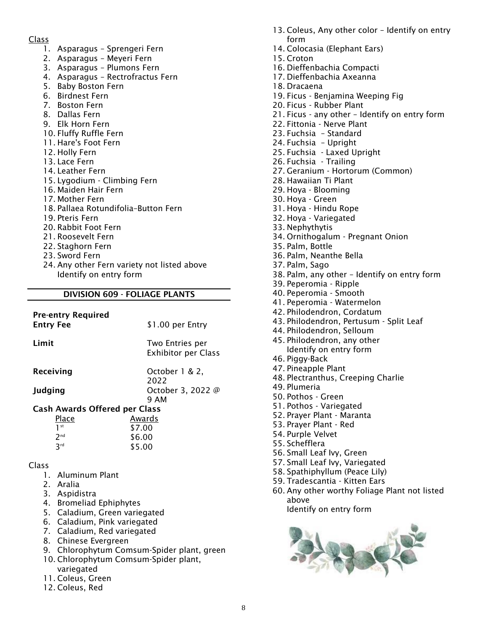#### Class

- 1. Asparagus Sprengeri Fern
- 2. Asparagus Meyeri Fern
- 3. Asparagus Plumons Fern
- 4. Asparagus Rectrofractus Fern
- 5. Baby Boston Fern
- 6. Birdnest Fern
- 7. Boston Fern
- 8. Dallas Fern
- 9. Elk Horn Fern
- 10. Fluffy Ruffle Fern
- 11. Hare's Foot Fern
- 12. Holly Fern
- 13. Lace Fern
- 14. Leather Fern
- 15. Lygodium Climbing Fern
- 16. Maiden Hair Fern
- 17. Mother Fern
- 18. Pallaea Rotundifolia–Button Fern
- 19. Pteris Fern
- 20. Rabbit Foot Fern
- 21. Roosevelt Fern
- 22. Staghorn Fern
- 23. Sword Fern
- 24. Any other Fern variety not listed above Identify on entry form

#### DIVISION 609 - FOLIAGE PLANTS

| <b>Pre-entry Required</b><br><b>Entry Fee</b> | \$1.00 per Entry                              |
|-----------------------------------------------|-----------------------------------------------|
| Limit                                         | Two Entries per<br><b>Exhibitor per Class</b> |
| Receiving                                     | October 1 & 2.                                |
| Judging                                       | 2022<br>October 3, 2022 @<br>9 AM             |
| <b>Cash Awards Offered per Class</b>          |                                               |
| Place                                         | Awards                                        |
| 1 <sup>st</sup>                               | \$7.00                                        |
| 2 <sup>nd</sup>                               | \$6.00                                        |
| 3 <sup>rd</sup>                               | \$5.00                                        |
| Class                                         |                                               |
| 1. Aluminum Plant                             |                                               |
| 2. Aralia                                     |                                               |
| 3. Aspidistra                                 |                                               |

- 4. Bromeliad Ephiphytes
- 5. Caladium, Green variegated
- 6. Caladium, Pink variegated
- 7. Caladium, Red variegated
- 8. Chinese Evergreen
- 9. Chlorophytum Comsum-Spider plant, green
- 10. Chlorophytum Comsum-Spider plant, variegated
- 11. Coleus, Green
- 12. Coleus, Red
- 13. Coleus, Any other color Identify on entry form
- 14. Colocasia (Elephant Ears)
- 15. Croton
- 16. Dieffenbachia Compacti
- 17. Dieffenbachia Axeanna
- 18. Dracaena
- 19. Ficus Benjamina Weeping Fig
- 20. Ficus Rubber Plant
- 21. Ficus any other Identify on entry form
- 22. Fittonia Nerve Plant
- 23. Fuchsia Standard
- 24. Fuchsia Upright
- 25. Fuchsia Laxed Upright
- 26. Fuchsia Trailing
- 27. Geranium Hortorum (Common)
- 28. Hawaiian Ti Plant
- 29. Hoya Blooming
- 30. Hoya Green
- 31. Hoya Hindu Rope
- 32. Hoya Variegated
- 33. Nephythytis
- 34. Ornithogalum Pregnant Onion
- 35. Palm, Bottle
- 36. Palm, Neanthe Bella
- 37. Palm, Sago
- 38. Palm, any other Identify on entry form
- 39. Peperomia Ripple
- 40. Peperomia Smooth
- 41. Peperomia Watermelon
- 42. Philodendron, Cordatum
- 43. Philodendron, Pertusum Split Leaf
- 44. Philodendron, Selloum
- 45. Philodendron, any other Identify on entry form
- 46. Piggy-Back
- 47. Pineapple Plant
- 48. Plectranthus, Creeping Charlie
- 49. Plumeria
- 50. Pothos Green
- 51. Pothos Variegated
- 52. Prayer Plant Maranta
- 53. Prayer Plant Red
- 54. Purple Velvet
- 55. Schefflera
- 56. Small Leaf Ivy, Green
- 57. Small Leaf Ivy, Variegated
- 58. Spathiphyllum (Peace Lily)
- 59. Tradescantia Kitten Ears
- 60. Any other worthy Foliage Plant not listed above



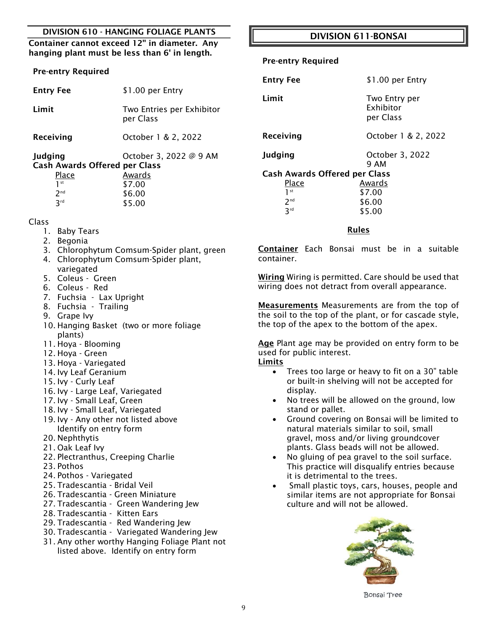#### DIVISION 610 - HANGING FOLIAGE PLANTS

#### Container cannot exceed 12" in diameter. Any hanging plant must be less than 6' in length.

#### Pre-entry Required

| <b>Entry Fee</b>                                | \$1.00 per Entry                       |
|-------------------------------------------------|----------------------------------------|
| Limit                                           | Two Entries per Exhibitor<br>per Class |
| Receiving                                       | October 1 & 2, 2022                    |
| Judging<br><b>Cash Awards Offered per Class</b> | October 3, 2022 @ 9 AM                 |
| Place                                           | Awards                                 |
| 1 <sup>st</sup>                                 | \$7.00                                 |
| 2 <sub>nd</sub>                                 | \$6.00                                 |
| 3 <sup>rd</sup>                                 | \$5.00                                 |

#### Class

- 1. Baby Tears
- 2. Begonia
- 3. Chlorophytum Comsum-Spider plant, green
- 4. Chlorophytum Comsum-Spider plant, variegated
- 5. Coleus Green
- 6. Coleus Red
- 7. Fuchsia Lax Upright
- 8. Fuchsia Trailing
- 9. Grape Ivy
- 10. Hanging Basket (two or more foliage plants)
- 11. Hoya Blooming
- 12. Hoya Green
- 13. Hoya Variegated
- 14. Ivy Leaf Geranium
- 15. Ivy Curly Leaf
- 16. Ivy Large Leaf, Variegated
- 17. Ivy Small Leaf, Green
- 18. Ivy Small Leaf, Variegated
- 19. Ivy Any other not listed above Identify on entry form
- 20. Nephthytis
- 21. Oak Leaf Ivy
- 22. Plectranthus, Creeping Charlie
- 23. Pothos
- 24. Pothos Variegated
- 25. Tradescantia Bridal Veil
- 26. Tradescantia Green Miniature
- 27. Tradescantia Green Wandering Jew
- 28. Tradescantia Kitten Ears
- 29. Tradescantia Red Wandering Jew
- 30. Tradescantia Variegated Wandering Jew
- 31. Any other worthy Hanging Foliage Plant not listed above. Identify on entry form

### DIVISION 611-BONSAI

#### Pre-entry Required

| <b>Entry Fee</b>                     | \$1.00 per Entry                        |  |  |
|--------------------------------------|-----------------------------------------|--|--|
| Limit                                | Two Entry per<br>Exhibitor<br>per Class |  |  |
| Receiving                            | October 1 & 2, 2022                     |  |  |
| Judging                              | October 3, 2022<br>9 AM                 |  |  |
| <b>Cash Awards Offered per Class</b> |                                         |  |  |
| Place                                | Awards                                  |  |  |
| $1$ st                               | \$7.00                                  |  |  |
| 2 <sub>nd</sub>                      | \$6.00                                  |  |  |
| 3rd                                  | \$5.00                                  |  |  |

#### Rules

Container Each Bonsai must be in a suitable container.

Wiring Wiring is permitted. Care should be used that wiring does not detract from overall appearance.

Measurements Measurements are from the top of the soil to the top of the plant, or for cascade style, the top of the apex to the bottom of the apex.

Age Plant age may be provided on entry form to be used for public interest.

### **Limits**

- Trees too large or heavy to fit on a 30" table or built-in shelving will not be accepted for display.
- No trees will be allowed on the ground, low stand or pallet.
- Ground covering on Bonsai will be limited to natural materials similar to soil, small gravel, moss and/or living groundcover plants. Glass beads will not be allowed.
- No gluing of pea gravel to the soil surface. This practice will disqualify entries because it is detrimental to the trees.
- Small plastic toys, cars, houses, people and similar items are not appropriate for Bonsai culture and will not be allowed.



**Bonsai Tree**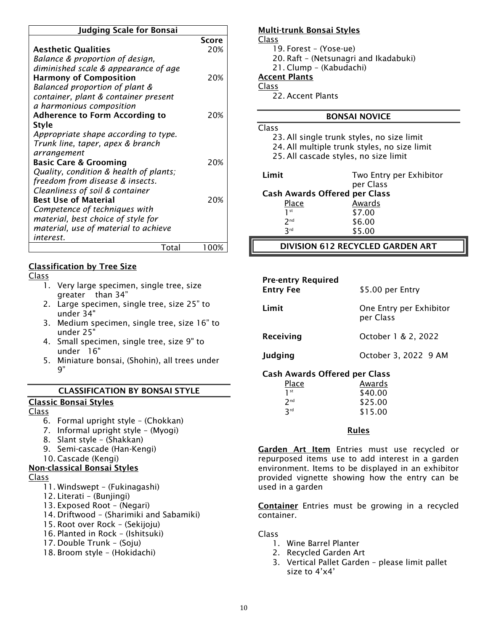| <b>Judging Scale for Bonsai</b>        |       |  |
|----------------------------------------|-------|--|
|                                        | Score |  |
| <b>Aesthetic Qualities</b>             | 20%   |  |
| Balance & proportion of design,        |       |  |
| diminished scale & appearance of age   |       |  |
| <b>Harmony of Composition</b>          | 20%   |  |
| Balanced proportion of plant &         |       |  |
| container, plant & container present   |       |  |
| a harmonious composition               |       |  |
| <b>Adherence to Form According to</b>  | 20%   |  |
| <b>Style</b>                           |       |  |
| Appropriate shape according to type.   |       |  |
| Trunk line, taper, apex & branch       |       |  |
| arrangement                            |       |  |
| <b>Basic Care &amp; Grooming</b>       | 20%   |  |
| Quality, condition & health of plants; |       |  |
| freedom from disease & insects.        |       |  |
| Cleanliness of soil & container        |       |  |
| <b>Best Use of Material</b>            | 20%   |  |
| Competence of techniques with          |       |  |
| material, best choice of style for     |       |  |
| material, use of material to achieve   |       |  |
| interest.                              |       |  |
| Total                                  | 100%  |  |

#### Classification by Tree Size

#### Class

- 1. Very large specimen, single tree, size greater than 34"
- 2. Large specimen, single tree, size 25" to under 34"
- 3. Medium specimen, single tree, size 16" to under 25"
- 4. Small specimen, single tree, size 9" to under 16"
- 5. Miniature bonsai, (Shohin), all trees under 9"

#### CLASSIFICATION BY BONSAI STYLE

#### Classic Bonsai Styles

#### Class

- 6. Formal upright style (Chokkan)
- 7. Informal upright style (Myogi)
- 8. Slant style (Shakkan)
- 9. Semi-cascade (Han-Kengi)
- 10. Cascade (Kengi)

#### Non-classical Bonsai Styles

#### Class

- 11. Windswept (Fukinagashi)
- 12. Literati (Bunjingi)
- 13. Exposed Root (Negari)
- 14. Driftwood (Sharimiki and Sabamiki)
- 15. Root over Rock (Sekijoju)
- 16. Planted in Rock (Ishitsuki)
- 17. Double Trunk (Soju)
- 18. Broom style (Hokidachi)

#### Multi-trunk Bonsai Styles

Class

- 19. Forest (Yose-ue)
	- 20. Raft (Netsunagri and Ikadabuki)
	- 21. Clump (Kabudachi)

### Accent Plants

#### Class

22. Accent Plants

#### BONSAI NOVICE

Class 23. All single trunk styles, no size limit

24. All multiple trunk styles, no size limit

25. All cascade styles, no size limit

| r<br>п<br>ı<br>u | I | × |
|------------------|---|---|

3rd

Two Entry per Exhibitor per Class Cash Awards Offered per Class Place Awards 1 st \$7.00  $2<sup>nd</sup>$ \$6.00

 $$5.00$ 

#### DIVISION 612 RECYCLED GARDEN ART

| <b>Pre-entry Required</b><br><b>Entry Fee</b> | \$5.00 per Entry                     |
|-----------------------------------------------|--------------------------------------|
| Limit                                         | One Entry per Exhibitor<br>per Class |
| Receiving                                     | October 1 & 2, 2022                  |
| Judging                                       | October 3, 2022 9 AM                 |
| Cach Awards Offered ner Class                 |                                      |

#### Cash Awards Offered per Class

| Place           | Awards  |
|-----------------|---------|
| 1 <sup>st</sup> | \$40.00 |
| 2 <sub>nd</sub> | \$25.00 |
| つrd             | \$15.00 |

#### Rules

Garden Art Item Entries must use recycled or repurposed items use to add interest in a garden environment. Items to be displayed in an exhibitor provided vignette showing how the entry can be used in a garden

Container Entries must be growing in a recycled container.

- 1. Wine Barrel Planter
- 2. Recycled Garden Art
- 3. Vertical Pallet Garden please limit pallet size to 4'x4'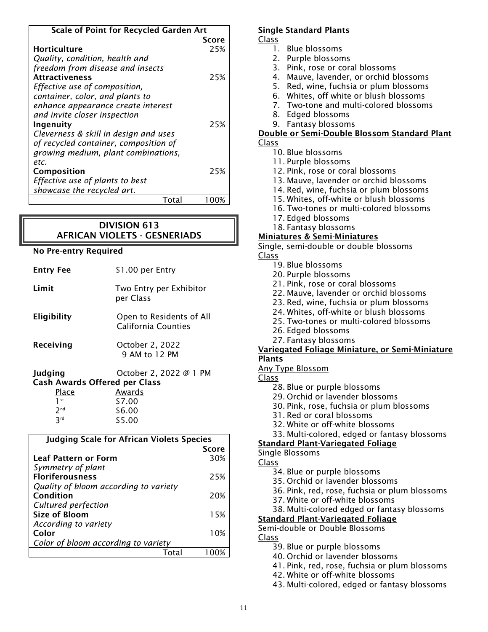| <b>Scale of Point for Recycled Garden Art</b> |       |
|-----------------------------------------------|-------|
|                                               | Score |
| <b>Horticulture</b>                           | 25%   |
| Quality, condition, health and                |       |
| freedom from disease and insects              |       |
| <b>Attractiveness</b>                         | 25%   |
| Effective use of composition,                 |       |
| container, color, and plants to               |       |
| enhance appearance create interest            |       |
| and invite closer inspection                  |       |
| Ingenuity                                     | 25%   |
| Cleverness & skill in design and uses         |       |
| of recycled container, composition of         |       |
| growing medium, plant combinations,           |       |
| etc.                                          |       |
| Composition                                   | 25%   |
| Effective use of plants to best               |       |
| showcase the recycled art.                    |       |
| Total                                         | 100%  |

### DIVISION 613 AFRICAN VIOLETS - GESNERIADS

#### No Pre-entry Required

| <b>Entry Fee</b>                                | \$1.00 per Entry                                       |
|-------------------------------------------------|--------------------------------------------------------|
| Limit                                           | Two Entry per Exhibitor<br>per Class                   |
| <b>Eligibility</b>                              | Open to Residents of All<br><b>California Counties</b> |
| Receiving                                       | October 2, 2022<br>9 AM to 12 PM                       |
| Judging<br><b>Cash Awards Offered per Class</b> | October 2, 2022 @ 1 PM                                 |
| Place                                           | Awards                                                 |
| 1 <sup>st</sup>                                 | \$7.00                                                 |
| 7 <sub>nd</sub>                                 | \$6.00                                                 |

| <b>Judging Scale for African Violets Species</b> |              |
|--------------------------------------------------|--------------|
|                                                  | <b>Score</b> |
| <b>Leaf Pattern or Form</b>                      | 30%          |
| Symmetry of plant                                |              |
| <b>Floriferousness</b>                           | 25%          |
| Quality of bloom according to variety            |              |
| Condition                                        | 20%          |
| Cultured perfection                              |              |
| Size of Bloom                                    | 15%          |
| According to variety                             |              |
| Color                                            | 10%          |
| Color of bloom according to variety              |              |
| Total                                            |              |
|                                                  |              |

#### Single Standard Plants

Class

- 1. Blue blossoms
- 2. Purple blossoms
- 3. Pink, rose or coral blossoms
- 4. Mauve, lavender, or orchid blossoms
- 5. Red, wine, fuchsia or plum blossoms
- 6. Whites, off white or blush blossoms
- 7. Two-tone and multi-colored blossoms
- 8. Edged blossoms
- 9. Fantasy blossoms

#### Double or Semi-Double Blossom Standard Plant Class

- 10. Blue blossoms
	- 11. Purple blossoms
	- 12. Pink, rose or coral blossoms
	- 13. Mauve, lavender or orchid blossoms
	- 14. Red, wine, fuchsia or plum blossoms
	- 15. Whites, off-white or blush blossoms
	- 16. Two-tones or multi-colored blossoms
	- 17. Edged blossoms
	- 18. Fantasy blossoms

### Miniatures & Semi-Miniatures

Single, semi-double or double blossoms

### Class

- 19. Blue blossoms
- 20. Purple blossoms
- 21. Pink, rose or coral blossoms
- 22. Mauve, lavender or orchid blossoms
- 23. Red, wine, fuchsia or plum blossoms
- 24. Whites, off-white or blush blossoms
- 25. Two-tones or multi-colored blossoms
- 26. Edged blossoms
- 27. Fantasy blossoms

#### Variegated Foliage Miniature, or Semi-Miniature **Plants**

#### Any Type Blossom

- Class
	- 28. Blue or purple blossoms
	- 29. Orchid or lavender blossoms
	- 30. Pink, rose, fuchsia or plum blossoms
	- 31. Red or coral blossoms
	- 32. White or off-white blossoms
	- 33. Multi-colored, edged or fantasy blossoms

#### Standard Plant-Variegated Foliage

#### Single Blossoms

Class

- 34. Blue or purple blossoms
- 35. Orchid or lavender blossoms
- 36. Pink, red, rose, fuchsia or plum blossoms
- 37. White or off-white blossoms
- 38. Multi-colored edged or fantasy blossoms

#### Standard Plant-Variegated Foliage

Semi-double or Double Blossoms

#### Class

- 39. Blue or purple blossoms
- 40. Orchid or lavender blossoms
- 41. Pink, red, rose, fuchsia or plum blossoms
- 42. White or off-white blossoms
- 43. Multi-colored, edged or fantasy blossoms

nd \$6.00 \$5.00

3rd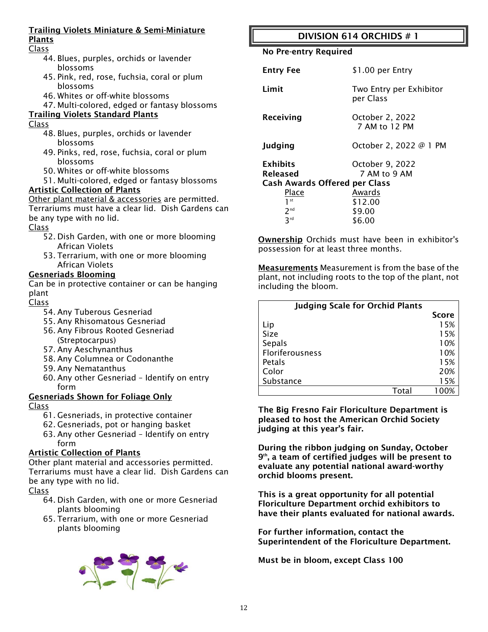#### Trailing Violets Miniature & Semi-Miniature Plants

### Class

- 44. Blues, purples, orchids or lavender blossoms
- 45. Pink, red, rose, fuchsia, coral or plum blossoms
- 46. Whites or off-white blossoms
- 47. Multi-colored, edged or fantasy blossoms
- Trailing Violets Standard Plants

### Class

- 48. Blues, purples, orchids or lavender blossoms
- 49. Pinks, red, rose, fuchsia, coral or plum blossoms
- 50. Whites or off-white blossoms
- 51. Multi-colored, edged or fantasy blossoms Artistic Collection of Plants

Other plant material & accessories are permitted. Terrariums must have a clear lid. Dish Gardens can be any type with no lid.

Class

- 52. Dish Garden, with one or more blooming African Violets
- 53. Terrarium, with one or more blooming African Violets

### Gesneriads Blooming

Can be in protective container or can be hanging plant

Class

- 54. Any Tuberous Gesneriad
- 55. Any Rhisomatous Gesneriad
- 56. Any Fibrous Rooted Gesneriad (Streptocarpus)
- 57. Any Aeschynanthus
- 58. Any Columnea or Codonanthe
- 59. Any Nematanthus
- 60. Any other Gesneriad Identify on entry form

#### Gesneriads Shown for Foliage Only

Class

- 61. Gesneriads, in protective container
- 62. Gesneriads, pot or hanging basket
- 63. Any other Gesneriad Identify on entry form

#### Artistic Collection of Plants

Other plant material and accessories permitted. Terrariums must have a clear lid. Dish Gardens can be any type with no lid.

Class

- 64. Dish Garden, with one or more Gesneriad plants blooming
- 65. Terrarium, with one or more Gesneriad plants blooming



## DIVISION 614 ORCHIDS # 1

No Pre-entry Required

| <b>Entry Fee</b>                                                           | \$1.00 per Entry                     |
|----------------------------------------------------------------------------|--------------------------------------|
| Limit                                                                      | Two Entry per Exhibitor<br>per Class |
| Receiving                                                                  | October 2, 2022<br>7 AM to 12 PM     |
| Judging                                                                    | October 2, 2022 @ 1 PM               |
| <b>Exhibits</b><br><b>Released</b><br><b>Cash Awards Offered per Class</b> | October 9, 2022<br>7 AM to 9 AM      |
| Place                                                                      | Awards                               |
| 1 <sup>st</sup>                                                            | \$12.00                              |
| 2 <sub>nd</sub>                                                            | \$9.00                               |
| 3rd                                                                        | \$6.00                               |

Ownership Orchids must have been in exhibitor's possession for at least three months.

Measurements Measurement is from the base of the plant, not including roots to the top of the plant, not including the bloom.

| <b>Judging Scale for Orchid Plants</b> |              |
|----------------------------------------|--------------|
|                                        | <b>Score</b> |
| Lip                                    | 15%          |
| Size                                   | 15%          |
| Sepals                                 | 10%          |
| Floriferousness                        | 10%          |
| Petals                                 | 15%          |
| Color                                  | 20%          |
| Substance                              | 15%          |
| Total                                  |              |

The Big Fresno Fair Floriculture Department is pleased to host the American Orchid Society judging at this year's fair.

During the ribbon judging on Sunday, October 9th, a team of certified judges will be present to evaluate any potential national award-worthy orchid blooms present.

This is a great opportunity for all potential Floriculture Department orchid exhibitors to have their plants evaluated for national awards.

For further information, contact the Superintendent of the Floriculture Department.

Must be in bloom, except Class 100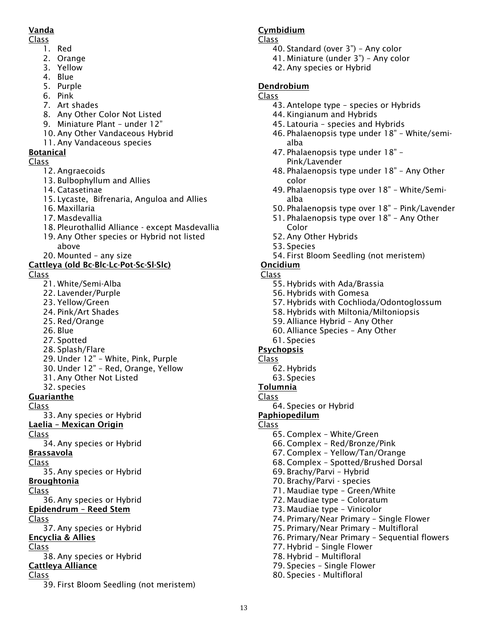### Vanda

### Class

- 1. Red
	- 2. Orange
	- 3. Yellow
	- 4. Blue
	- 5. Purple
	- 6. Pink
	- 7. Art shades
	- 8. Any Other Color Not Listed
	- 9. Miniature Plant under 12"
	- 10. Any Other Vandaceous Hybrid
	- 11. Any Vandaceous species

### Botanical

### Class

- 12. Angraecoids
- 13. Bulbophyllum and Allies
- 14. Catasetinae
- 15. Lycaste, Bifrenaria, Anguloa and Allies
- 16. Maxillaria
- 17. Masdevallia
- 18. Pleurothallid Alliance except Masdevallia
- 19. Any Other species or Hybrid not listed above
- 20. Mounted any size

### Cattleya (old Bc-Blc-Lc-Pot-Sc-Sl-Slc)

Class

- 21. White/Semi-Alba
- 22. Lavender/Purple
- 23. Yellow/Green
- 24. Pink/Art Shades
- 25. Red/Orange
- 26. Blue
- 27. Spotted
- 28. Splash/Flare
- 29. Under 12" White, Pink, Purple
- 30. Under 12" Red, Orange, Yellow
- 31. Any Other Not Listed
- 32. species

Guarianthe

Class

33. Any species or Hybrid

- Laelia Mexican Origin
- Class

34. Any species or Hybrid

- Brassavola
- Class
- 35. Any species or Hybrid
- Broughtonia
- Class
- 36. Any species or Hybrid
- Epidendrum Reed Stem
- Class

37. Any species or Hybrid Encyclia & Allies

- 
- Class
- 38. Any species or Hybrid

# Cattleya Alliance

- Class
	- 39. First Bloom Seedling (not meristem)

### Cymbidium

#### Class

- 40. Standard (over 3") Any color
	- 41. Miniature (under 3") Any color
- 42. Any species or Hybrid

### Dendrobium

#### Class

- 43. Antelope type species or Hybrids
- 44. Kingianum and Hybrids
- 45. Latouria species and Hybrids
- 46. Phalaenopsis type under 18" White/semialba
- 47. Phalaenopsis type under 18" Pink/Lavender
- 48. Phalaenopsis type under 18" Any Other color
- 49. Phalaenopsis type over 18" White/Semialba
- 50. Phalaenopsis type over 18" Pink/Lavender
- 51. Phalaenopsis type over 18" Any Other Color
- 52. Any Other Hybrids
- 53. Species
- 54. First Bloom Seedling (not meristem)

### Oncidium

- Class
	- 55. Hybrids with Ada/Brassia
	- 56. Hybrids with Gomesa
	- 57. Hybrids with Cochlioda/Odontoglossum
	- 58. Hybrids with Miltonia/Miltoniopsis
	- 59. Alliance Hybrid Any Other
	- 60. Alliance Species Any Other
	- 61. Species

### Psychopsis

- Class
	- 62. Hybrids
	- 63. Species

#### Tolumnia Class

64. Species or Hybrid

### Paphiopedilum

Class

13

- 65. Complex White/Green
- 66. Complex Red/Bronze/Pink

71. Maudiae type – Green/White 72. Maudiae type – Coloratum 73. Maudiae type – Vinicolor

- 67. Complex Yellow/Tan/Orange
- 68. Complex Spotted/Brushed Dorsal

74. Primary/Near Primary – Single Flower 75. Primary/Near Primary – Multifloral

76. Primary/Near Primary – Sequential flowers

69. Brachy/Parvi – Hybrid 70. Brachy/Parvi - species

77. Hybrid – Single Flower 78. Hybrid – Multifloral 79. Species – Single Flower 80. Species - Multifloral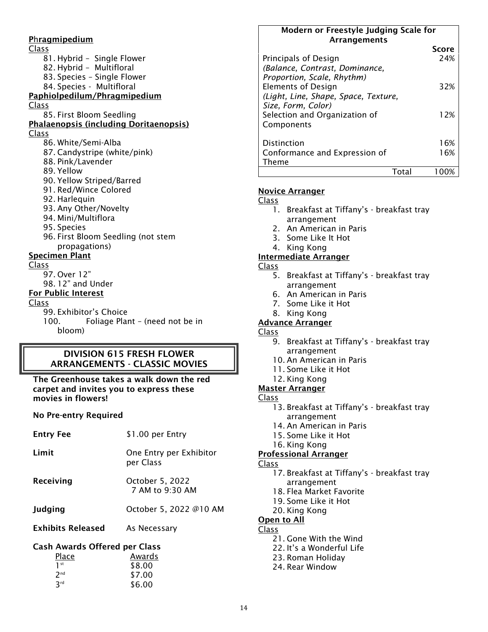Phragmipedium Class 81. Hybrid – Single Flower 82. Hybrid – Multifloral 83. Species – Single Flower 84. Species - Multifloral Paphiolpedilum/Phragmipedium Class 85. First Bloom Seedling Phalaenopsis (including Doritaenopsis) Class 86. White/Semi-Alba 87. Candystripe (white/pink) 88. Pink/Lavender 89. Yellow 90. Yellow Striped/Barred 91. Red/Wince Colored 92. Harlequin 93. Any Other/Novelty 94. Mini/Multiflora 95. Species 96. First Bloom Seedling (not stem propagations) Specimen Plant Class 97. Over 12" 98. 12" and Under

#### For Public Interest

Class

99. Exhibitor's Choice

100. Foliage Plant – (need not be in bloom)

#### DIVISION 615 FRESH FLOWER ARRANGEMENTS - CLASSIC MOVIES

The Greenhouse takes a walk down the red carpet and invites you to express these movies in flowers!

#### No Pre-entry Required

| <b>Entry Fee</b>                                 | \$1.00 per Entry                     |  |
|--------------------------------------------------|--------------------------------------|--|
| Limit                                            | One Entry per Exhibitor<br>per Class |  |
| Receiving                                        | October 5, 2022<br>7 AM to 9:30 AM   |  |
| <b>Judging</b>                                   | October 5, 2022 @10 AM               |  |
| Exhibits Released                                | As Necessary                         |  |
| Cash Awards Offered per Class<br>Awards<br>Place |                                      |  |
| l st                                             | \$8.00                               |  |

| $\mathbf{I}$    | \$8.00 |
|-----------------|--------|
| 2 <sup>nd</sup> | \$7.00 |
| 3 <sup>rd</sup> | \$6.00 |
|                 |        |

#### Modern or Freestyle Judging Scale for **Arrangements**

|                                                              | Score |
|--------------------------------------------------------------|-------|
| Principals of Design                                         | 24%   |
| (Balance, Contrast, Dominance,<br>Proportion, Scale, Rhythm) |       |
| <b>Elements of Design</b>                                    | 32%   |
| (Light, Line, Shape, Space, Texture,                         |       |
| Size, Form, Color)                                           |       |
| Selection and Organization of                                | 12%   |
| Components                                                   |       |
| Distinction                                                  | 16%   |
|                                                              | 16%   |
| Conformance and Expression of<br>Theme                       |       |
|                                                              |       |

#### Novice Arranger

Class

- 1. Breakfast at Tiffany's breakfast tray arrangement
- 2. An American in Paris
- 3. Some Like It Hot
- 4. King Kong

#### Intermediate Arranger

- Class
	- 5. Breakfast at Tiffany's breakfast tray arrangement
	- 6. An American in Paris
	- 7. Some Like it Hot
	- 8. King Kong

#### Advance Arranger

Class

- 9. Breakfast at Tiffany's breakfast tray arrangement
- 10. An American in Paris
- 11. Some Like it Hot
- 12. King Kong

### Master Arranger

#### Class

- 13. Breakfast at Tiffany's breakfast tray arrangement
- 14. An American in Paris
- 15. Some Like it Hot
- 16. King Kong

#### Professional Arranger

- Class
	- 17. Breakfast at Tiffany's breakfast tray arrangement
	- 18. Flea Market Favorite
	- 19. Some Like it Hot
	- 20. King Kong

#### Open to All

- Class
	- 21. Gone With the Wind
	- 22. It's a Wonderful Life
	- 23. Roman Holiday
	- 24. Rear Window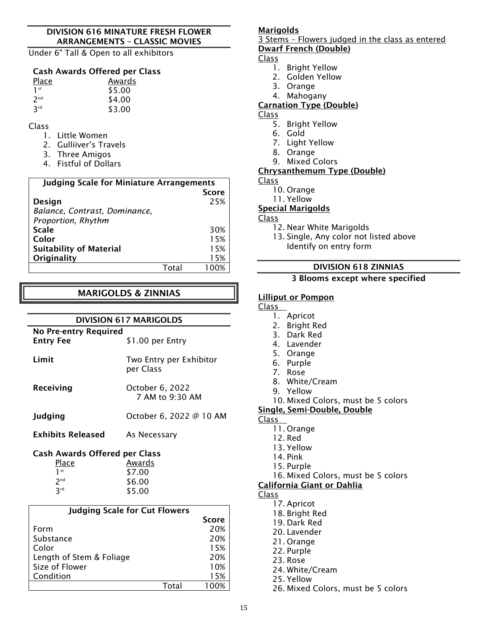#### DIVISION 616 MINATURE FRESH FLOWER ARRANGEMENTS – CLASSIC MOVIES

Under 6" Tall & Open to all exhibitors

#### Cash Awards Offered per Class

| Place           | Awards |  |
|-----------------|--------|--|
| 1 <sup>st</sup> | \$5.00 |  |
| 2 <sub>nd</sub> | \$4.00 |  |
| 3 <sup>rd</sup> | \$3.00 |  |

#### Class

- 1. Little Women
- 2. Gulliiver's Travels
- 3. Three Amigos
- 4. Fistful of Dollars

| <b>Judging Scale for Miniature Arrangements</b> |      |              |
|-------------------------------------------------|------|--------------|
|                                                 |      | <b>Score</b> |
| <b>Design</b>                                   |      | 25%          |
| Balance, Contrast, Dominance,                   |      |              |
| Proportion, Rhythm                              |      |              |
| <b>Scale</b>                                    |      | 30%          |
| Color                                           |      | 15%          |
| <b>Suitability of Material</b>                  |      | 15%          |
| Originality                                     |      | 15%          |
|                                                 | Tota |              |

### MARIGOLDS & ZINNIAS

# DIVISION 617 MARIGOLDS

| <b>No Pre-entry Required</b><br><b>Entry Fee</b> | \$1.00 per Entry                     |  |
|--------------------------------------------------|--------------------------------------|--|
| Limit                                            | Two Entry per Exhibitor<br>per Class |  |
| Receiving                                        | October 6, 2022<br>7 AM to 9:30 AM   |  |
| Judging                                          | October 6, 2022 @ 10 AM              |  |
| <b>Exhibits Released</b>                         | As Necessary                         |  |
| <b>Cash Awards Offered per Class</b>             |                                      |  |
| <u>Place</u>                                     | Awards                               |  |
| 1 <sup>st</sup>                                  | \$7.00                               |  |
| 2 <sup>nd</sup>                                  | \$6.00                               |  |
| 3 <sup>rd</sup>                                  | \$5.00                               |  |
|                                                  | <b>Judging Scale for Cut Flowers</b> |  |
|                                                  | Score                                |  |
| Form                                             | 20%                                  |  |
| Substance                                        | 20%                                  |  |
| Color                                            | 15%                                  |  |
| Length of Stem & Foliage                         | 20%                                  |  |
| Size of Flower                                   | 10%                                  |  |

Condition 15%

### Marigolds

3 Stems – Flowers judged in the class as entered Dwarf French (Double)

#### Class

- 1. Bright Yellow
- 2. Golden Yellow
- 3. Orange
- 4. Mahogany

#### Carnation Type (Double)

- Class
	- 5. Bright Yellow
	- 6. Gold
	- 7. Light Yellow
	- 8. Orange
	- 9. Mixed Colors

#### Chrysanthemum Type (Double)

#### Class

- 10. Orange
- 11. Yellow

#### Special Marigolds

#### Class

- 12. Near White Marigolds
- 13. Single, Any color not listed above Identify on entry form

#### DIVISION 618 ZINNIAS

#### 3 Blooms except where specified

#### Lilliput or Pompon

#### Class

- 1. Apricot
- 2. Bright Red
- 3. Dark Red
- 4. Lavender
- 5. Orange
- 6. Purple
- 7. Rose
- 8. White/Cream
- 9. Yellow
- 10. Mixed Colors, must be 5 colors

#### Single, Semi-Double, Double

#### Class

- 11. Orange
- 12. Red
	- 13. Yellow
	- 14. Pink
	- 15. Purple
- 16. Mixed Colors, must be 5 colors
- California Giant or Dahlia

#### Class

- 17. Apricot
	- 18. Bright Red
- 19. Dark Red
- 20. Lavender
- 21. Orange
- 22. Purple
- 23. Rose
- 24. White/Cream
- 25. Yellow
- 26. Mixed Colors, must be 5 colors

Total 100%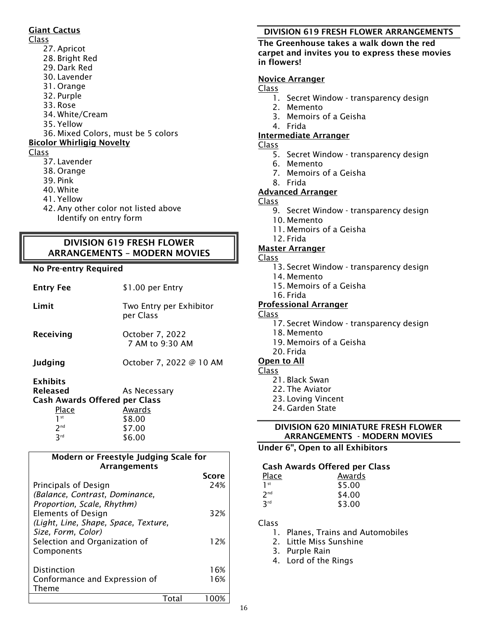#### Giant Cactus

### Class

- 27. Apricot
- 28. Bright Red
- 29. Dark Red
- 30. Lavender
- 31. Orange
- 32. Purple
- 33. Rose
- 34. White/Cream
- 35. Yellow
- 36. Mixed Colors, must be 5 colors

#### Bicolor Whirligig Novelty

#### Class

- 37. Lavender
- 38. Orange
- 39. Pink
- 40. White
- 41. Yellow
- 42. Any other color not listed above Identify on entry form

### DIVISION 619 FRESH FLOWER ARRANGEMENTS – MODERN MOVIES

#### No Pre-entry Required

| <b>Entry Fee</b>                                                                                              | \$1.00 per Entry                                     |
|---------------------------------------------------------------------------------------------------------------|------------------------------------------------------|
| Limit                                                                                                         | Two Entry per Exhibitor<br>per Class                 |
| Receiving                                                                                                     | October 7, 2022<br>7 AM to 9:30 AM                   |
| Judging                                                                                                       | October 7, 2022 @ 10 AM                              |
| <b>Exhibits</b><br>Released<br><b>Cash Awards Offered per Class</b><br>Place<br>1st<br>7 <sub>nd</sub><br>3rd | As Necessary<br>Awards<br>\$8.00<br>\$7.00<br>\$6.00 |

#### Modern or Freestyle Judging Scale for Arrangements

|                                      | Score |
|--------------------------------------|-------|
| Principals of Design                 | 24%   |
| (Balance, Contrast, Dominance,       |       |
| Proportion, Scale, Rhythm)           |       |
| <b>Elements of Design</b>            | 32%   |
| (Light, Line, Shape, Space, Texture, |       |
| Size, Form, Color)                   |       |
| Selection and Organization of        | 12%   |
| Components                           |       |
| Distinction                          | 16%   |
| Conformance and Expression of        | 16%   |
| Theme                                |       |
|                                      |       |

### DIVISION 619 FRESH FLOWER ARRANGEMENTS

#### The Greenhouse takes a walk down the red carpet and invites you to express these movies in flowers!

### Novice Arranger

Class

- 1. Secret Window transparency design
- 2. Memento
- 3. Memoirs of a Geisha
- 4. Frida

### Intermediate Arranger

Class

- 5. Secret Window transparency design
- 6. Memento
- 7. Memoirs of a Geisha
- 8. Frida

### Advanced Arranger

Class

- 9. Secret Window transparency design
- 10. Memento
- 11. Memoirs of a Geisha
- 12. Frida

### Master Arranger

- Class
	- 13. Secret Window transparency design
	- 14. Memento
	- 15. Memoirs of a Geisha
	- 16. Frida

### Professional Arranger

- Class
	- 17. Secret Window transparency design
	- 18. Memento
	- 19. Memoirs of a Geisha
	- 20. Frida

### Open to All

#### Class

- 21. Black Swan
- 22. The Aviator
- 23. Loving Vincent
- 24. Garden State

#### DIVISION 620 MINIATURE FRESH FLOWER ARRANGEMENTS - MODERN MOVIES

### Under 6", Open to all Exhibitors

### Cash Awards Offered per Class

| <u>Place</u>    | Awards |
|-----------------|--------|
| 1 <sup>st</sup> | \$5.00 |
| 2 <sub>nd</sub> | \$4.00 |
| 3 <sup>rd</sup> | \$3.00 |

- 1. Planes, Trains and Automobiles
- 2. Little Miss Sunshine
- 3. Purple Rain
- 4. Lord of the Rings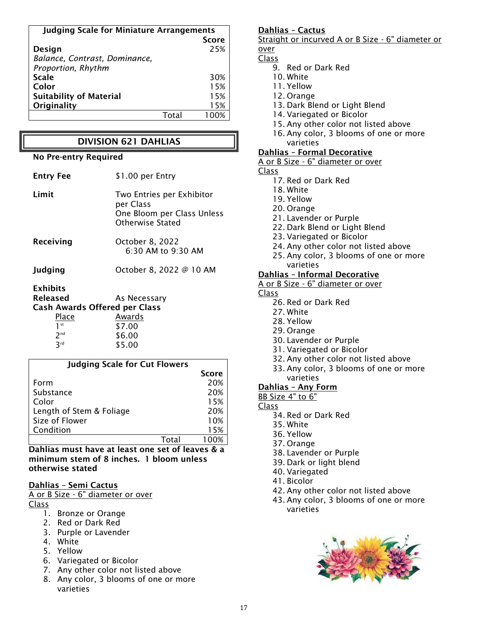| <b>Judging Scale for Miniature Arrangements</b> |  |              |
|-------------------------------------------------|--|--------------|
|                                                 |  | <b>Score</b> |
| Design                                          |  | 25%          |
| Balance, Contrast, Dominance,                   |  |              |
| Proportion, Rhythm                              |  |              |
| <b>Scale</b>                                    |  | 30%          |
| Color                                           |  | 15%          |
| <b>Suitability of Material</b>                  |  | 15%          |
| Originality                                     |  | 15%          |
|                                                 |  |              |

#### DIVISION 621 DAHLIAS

#### No Pre-entry Required

| <b>Entry Fee</b>                     | \$1.00 per Entry                                                                                |
|--------------------------------------|-------------------------------------------------------------------------------------------------|
| Limit                                | Two Entries per Exhibitor<br>per Class<br>One Bloom per Class Unless<br><b>Otherwise Stated</b> |
| Receiving                            | October 8, 2022<br>6:30 AM to 9:30 AM                                                           |
| Judging                              | October 8, 2022 @ 10 AM                                                                         |
| <b>Exhibits</b>                      |                                                                                                 |
| <b>Released</b>                      | As Necessary                                                                                    |
| <b>Cash Awards Offered per Class</b> |                                                                                                 |
| Place                                | Awards                                                                                          |
| $1$ st                               | \$7.00                                                                                          |
| 2 <sup>nd</sup>                      | \$6.00                                                                                          |
| 3rd                                  | \$5.00                                                                                          |

| <b>Judging Scale for Cut Flowers</b> |              |
|--------------------------------------|--------------|
|                                      | <b>Score</b> |
| Form                                 | 20%          |
| Substance                            | 20%          |
| Color                                | 15%          |
| Length of Stem & Foliage             | 20%          |
| Size of Flower                       | 10%          |
| Condition                            | 15%          |
|                                      |              |

Dahlias must have at least one set of leaves & a minimum stem of 8 inches. 1 bloom unless otherwise stated

#### Dahlias – Semi Cactus

A or B Size - 6" diameter or over Class

- 1. Bronze or Orange
- 2. Red or Dark Red
- 3. Purple or Lavender
- 4. White
- 5. Yellow
- 6. Variegated or Bicolor
- 7. Any other color not listed above
- 8. Any color, 3 blooms of one or more varieties

#### Dahlias – Cactus

Straight or incurved A or B Size - 6" diameter or over

#### Class

- 9. Red or Dark Red
- 10. White
- 11. Yellow
- 12. Orange
- 13. Dark Blend or Light Blend
- 14. Variegated or Bicolor
- 15. Any other color not listed above
- 16. Any color, 3 blooms of one or more varieties

#### Dahlias – Formal Decorative

- A or B Size 6" diameter or over
- Class
	- 17. Red or Dark Red
	- 18. White
	- 19. Yellow
	- 20. Orange
	- 21. Lavender or Purple
	- 22. Dark Blend or Light Blend
	- 23. Variegated or Bicolor
	- 24. Any other color not listed above
	- 25. Any color, 3 blooms of one or more varieties

#### Dahlias – Informal Decorative

- A or B Size 6" diameter or over
- Class
	- 26. Red or Dark Red
	- 27. White
	- 28. Yellow
	- 29. Orange
	- 30. Lavender or Purple
	- 31. Variegated or Bicolor
	- 32. Any other color not listed above
	- 33. Any color, 3 blooms of one or more varieties

#### Dahlias – Any Form

BB Size 4" to 6"

- 34. Red or Dark Red
- 35. White
- 36. Yellow
- 37. Orange
- 38. Lavender or Purple
- 39. Dark or light blend
- 40. Variegated
- 41. Bicolor
- 42. Any other color not listed above
- 43. Any color, 3 blooms of one or more varieties

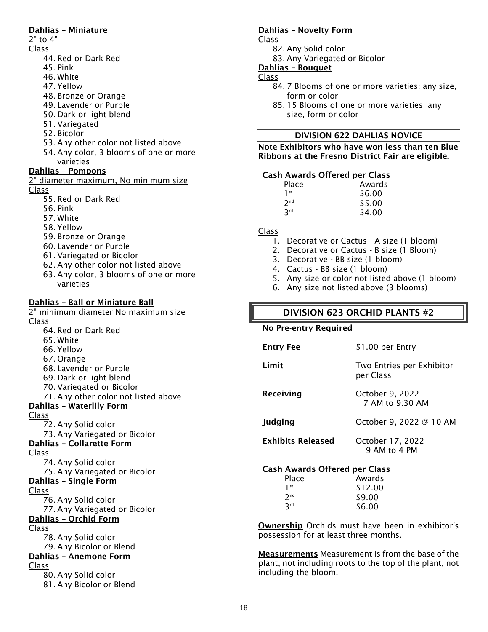#### Dahlias – Miniature

### 2" to 4"

- Class
	- 44. Red or Dark Red
	- 45. Pink
	- 46. White
	- 47. Yellow
	- 48. Bronze or Orange
	- 49. Lavender or Purple
	- 50. Dark or light blend
	- 51. Variegated
	- 52. Bicolor
	- 53. Any other color not listed above
	- 54. Any color, 3 blooms of one or more varieties

#### Dahlias – Pompons

```
2" diameter maximum, No minimum size
Class
```
- 55. Red or Dark Red
- 56. Pink
- 57. White
- 58. Yellow
- 59. Bronze or Orange
- 60. Lavender or Purple
- 61. Variegated or Bicolor
- 62. Any other color not listed above
- 63. Any color, 3 blooms of one or more varieties

### Dahlias – Ball or Miniature Ball

2" minimum diameter No maximum size Class 64. Red or Dark Red

- 65. White
- 66. Yellow
- 67. Orange
- 
- 
- 

### Dahlias – Waterlily Form

#### Class

- 72. Any Solid color
- 73. Any Variegated or Bicolor

### Dahlias – Collarette Form

Class

- 74. Any Solid color 75. Any Variegated or Bicolor
- Dahlias Single Form

#### Class

- 76. Any Solid color
- 77. Any Variegated or Bicolor

### Dahlias – Orchid Form

- Class
	- 78. Any Solid color
	- 79. Any Bicolor or Blend

### Dahlias – Anemone Form

- Class
	- 80. Any Solid color 81. Any Bicolor or Blend

#### Dahlias – Novelty Form

Class

- 82. Any Solid color
- 83. Any Variegated or Bicolor

#### Dahlias – Bouquet

#### Class

- 84. 7 Blooms of one or more varieties; any size, form or color
- 85. 15 Blooms of one or more varieties; any size, form or color

#### DIVISION 622 DAHLIAS NOVICE

#### Note Exhibitors who have won less than ten Blue Ribbons at the Fresno District Fair are eligible.

#### Cash Awards Offered per Class

| Place           | Awards |
|-----------------|--------|
| 1 <sup>st</sup> | \$6.00 |
| 2 <sub>nd</sub> | \$5.00 |
| 3rd             | \$4.00 |

#### Class

- 1. Decorative or Cactus A size (1 bloom)
- 2. Decorative or Cactus B size (1 Bloom)
- 3. Decorative BB size (1 bloom)
- 4. Cactus BB size (1 bloom)
- 5. Any size or color not listed above (1 bloom)
- 6. Any size not listed above (3 blooms)

### DIVISION 623 ORCHID PLANTS #2

#### No Pre-entry Required

| \$1.00 per Entry                       |
|----------------------------------------|
| Two Entries per Exhibitor<br>per Class |
| October 9, 2022<br>7 AM to 9:30 AM     |
| October 9, 2022 @ 10 AM                |
| October 17, 2022<br>9 AM to 4 PM       |
|                                        |

#### Cash Awards Offered per Class

| Place           | Awards  |
|-----------------|---------|
| 1 <sup>st</sup> | \$12.00 |
| 7 <sub>nd</sub> | \$9.00  |
| 3rd             | \$6.00  |

Ownership Orchids must have been in exhibitor's possession for at least three months.

Measurements Measurement is from the base of the plant, not including roots to the top of the plant, not including the bloom.

- 68. Lavender or Purple 69. Dark or light blend 70. Variegated or Bicolor
- 71. Any other color not listed above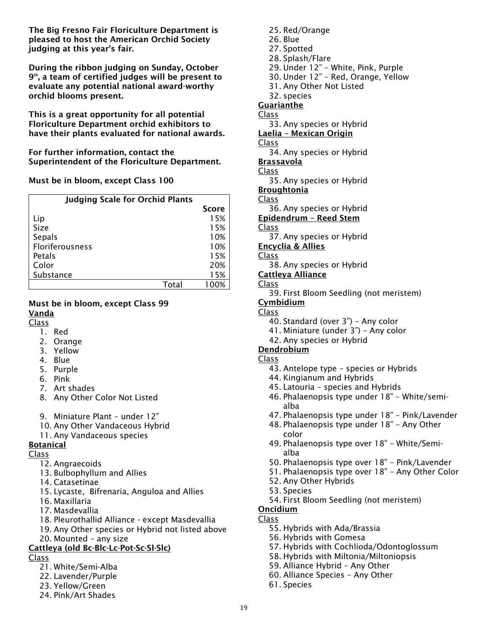The Big Fresno Fair Floriculture Department is pleased to host the American Orchid Society judging at this year's fair.

During the ribbon judging on Sunday, October 9th, a team of certified judges will be present to evaluate any potential national award-worthy orchid blooms present.

This is a great opportunity for all potential Floriculture Department orchid exhibitors to have their plants evaluated for national awards.

For further information, contact the Superintendent of the Floriculture Department.

#### Must be in bloom, except Class 100

| <b>Judging Scale for Orchid Plants</b> |              |
|----------------------------------------|--------------|
|                                        | <b>Score</b> |
| Lip                                    | 15%          |
| Size                                   | 15%          |
| Sepals                                 | 10%          |
| Floriferousness                        | 10%          |
| Petals                                 | 15%          |
| Color                                  | 20%          |
| Substance                              | 15%          |
| Total                                  | 100%         |

#### Must be in bloom, except Class 99 Vanda

Class

- 1. Red
- 2. Orange
- 3. Yellow
- 4. Blue
- 5. Purple
- 6. Pink
- 7. Art shades
- 8. Any Other Color Not Listed
- 9. Miniature Plant under 12"
- 10. Any Other Vandaceous Hybrid
- 11. Any Vandaceous species

#### Botanical

Class

- 12. Angraecoids
- 13. Bulbophyllum and Allies
- 14. Catasetinae
- 15. Lycaste, Bifrenaria, Anguloa and Allies
- 16. Maxillaria
- 17. Masdevallia
- 18. Pleurothallid Alliance except Masdevallia
- 19. Any Other species or Hybrid not listed above
- 20. Mounted any size

### Cattleya (old Bc-Blc-Lc-Pot-Sc-Sl-Slc)

Class

- 21. White/Semi-Alba
- 22. Lavender/Purple
- 23. Yellow/Green
- 24. Pink/Art Shades

25. Red/Orange 26. Blue 27. Spotted 28. Splash/Flare 29. Under 12" – White, Pink, Purple 30. Under 12" – Red, Orange, Yellow 31. Any Other Not Listed 32. species **Guarianthe** Class 33. Any species or Hybrid Laelia – Mexican Origin

Class

- 34. Any species or Hybrid
- Brassavola

Class

- 35. Any species or Hybrid
- Broughtonia
- Class
- 36. Any species or Hybrid

Epidendrum – Reed Stem

- Class
- 37. Any species or Hybrid
- Encyclia & Allies

Class

- 38. Any species or Hybrid
- Cattleya Alliance

### Class

39. First Bloom Seedling (not meristem)

### **Cymbidium**

- Class
	- 40. Standard (over 3") Any color
	- 41. Miniature (under 3") Any color
	- 42. Any species or Hybrid

#### Dendrobium

- Class
	- 43. Antelope type species or Hybrids
	- 44. Kingianum and Hybrids
	- 45. Latouria species and Hybrids
	- 46. Phalaenopsis type under 18" White/semialba
	- 47. Phalaenopsis type under 18" Pink/Lavender
	- 48. Phalaenopsis type under 18" Any Other color
	- 49. Phalaenopsis type over 18" White/Semialba
	- 50. Phalaenopsis type over 18" Pink/Lavender
	- 51. Phalaenopsis type over 18" Any Other Color
	- 52. Any Other Hybrids
	- 53. Species
	- 54. First Bloom Seedling (not meristem)

#### Oncidium

- Class
	- 55. Hybrids with Ada/Brassia
	- 56. Hybrids with Gomesa
	- 57. Hybrids with Cochlioda/Odontoglossum
	- 58. Hybrids with Miltonia/Miltoniopsis
	- 59. Alliance Hybrid Any Other
	- 60. Alliance Species Any Other
	- 61. Species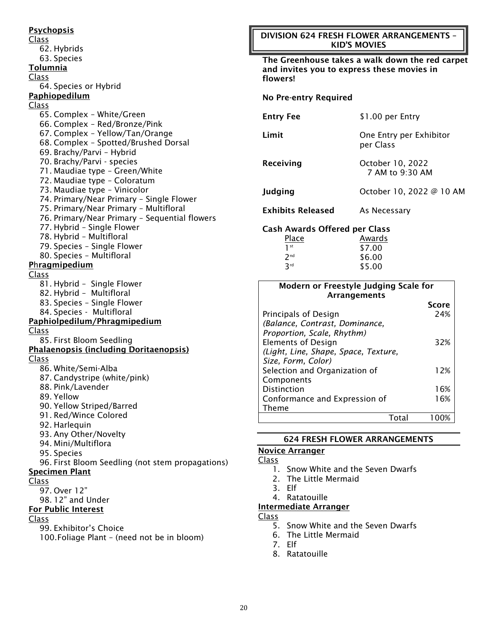**Psychopsis** Class 62. Hybrids 63. Species Tolumnia Class 64. Species or Hybrid Paphiopedilum Class 65. Complex – White/Green 66. Complex – Red/Bronze/Pink 67. Complex – Yellow/Tan/Orange 68. Complex – Spotted/Brushed Dorsal 69. Brachy/Parvi – Hybrid 70. Brachy/Parvi - species 71. Maudiae type – Green/White 72. Maudiae type – Coloratum 73. Maudiae type – Vinicolor 74. Primary/Near Primary – Single Flower 75. Primary/Near Primary – Multifloral 76. Primary/Near Primary – Sequential flowers 77. Hybrid – Single Flower 78. Hybrid – Multifloral 79. Species – Single Flower 80. Species – Multifloral Phragmipedium Class 81. Hybrid – Single Flower 82. Hybrid – Multifloral 83. Species – Single Flower 84. Species - Multifloral Paphiolpedilum/Phragmipedium Class 85. First Bloom Seedling Phalaenopsis (including Doritaenopsis) Class 86. White/Semi-Alba 87. Candystripe (white/pink) 88. Pink/Lavender 89. Yellow 90. Yellow Striped/Barred 91. Red/Wince Colored 92. Harlequin 93. Any Other/Novelty 94. Mini/Multiflora 95. Species 96. First Bloom Seedling (not stem propagations) Specimen Plant Class 97. Over 12" 98. 12" and Under For Public Interest Class 99. Exhibitor's Choice

100.Foliage Plant – (need not be in bloom)

#### DIVISION 624 FRESH FLOWER ARRANGEMENTS – KID'S MOVIES

The Greenhouse takes a walk down the red carpet and invites you to express these movies in flowers!

#### No Pre-entry Required

| <b>Entry Fee</b>              | \$1.00 per Entry                     |
|-------------------------------|--------------------------------------|
| Limit                         | One Entry per Exhibitor<br>per Class |
| Receiving                     | October 10, 2022<br>7 AM to 9:30 AM  |
| Judging                       | October 10, 2022 @ 10 AM             |
| <b>Exhibits Released</b>      | As Necessary                         |
| Cash Awards Offered ner Class |                                      |

#### Cash Awards Offered per Class

| Place           | Awards |
|-----------------|--------|
| $1$ st          | \$7.00 |
| 2 <sub>nd</sub> | \$6.00 |
| 3rd             | \$5.00 |

| Modern or Freestyle Judging Scale for |              |
|---------------------------------------|--------------|
| Arrangements                          |              |
|                                       | <b>Score</b> |
| Principals of Design                  | 24%          |
| (Balance, Contrast, Dominance,        |              |
| Proportion, Scale, Rhythm)            |              |
| <b>Elements of Design</b>             | 32%          |
| (Light, Line, Shape, Space, Texture,  |              |
| Size, Form, Color)                    |              |
| Selection and Organization of         | 12%          |
| Components                            |              |
| Distinction                           | 16%          |
| Conformance and Expression of         | 16%          |
| Theme                                 |              |
|                                       |              |

#### 624 FRESH FLOWER ARRANGEMENTS

#### Novice Arranger

#### Class

- 1. Snow White and the Seven Dwarfs
- 2. The Little Mermaid
- 3. Elf
- 4. Ratatouille

#### Intermediate Arranger

- 5. Snow White and the Seven Dwarfs
- 6. The Little Mermaid
- 7. Elf
- 8. Ratatouille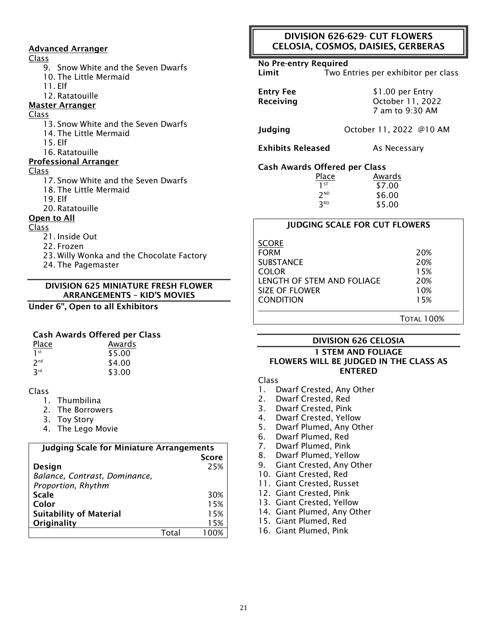#### Advanced Arranger

#### Class

- 9. Snow White and the Seven Dwarfs
- 10. The Little Mermaid
- 11. Elf
- 12. Ratatouille

#### Master Arranger

#### Class

- 13. Snow White and the Seven Dwarfs
- 14. The Little Mermaid
- 15. Elf
- 16. Ratatouille

#### Professional Arranger

#### Class

- 17. Snow White and the Seven Dwarfs
	- 18. The Little Mermaid
	- 19. Elf
	- 20. Ratatouille

#### Open to All

#### Class

- 21. Inside Out
- 22. Frozen
- 23. Willy Wonka and the Chocolate Factory
- 24. The Pagemaster

#### DIVISION 625 MINIATURE FRESH FLOWER ARRANGEMENTS – KID'S MOVIES

#### Under 6", Open to all Exhibitors

#### Cash Awards Offered per Class

| <b>Place</b>    | Awards |
|-----------------|--------|
| 1 <sup>st</sup> | \$5.00 |
| 2 <sub>nd</sub> | \$4.00 |
| 3 <sup>rd</sup> | \$3.00 |

#### Class

- 1. Thumbilina
- 2. The Borrowers
- 3. Toy Story
- 4. The Lego Movie

| <b>Judging Scale for Miniature Arrangements</b> |       |              |
|-------------------------------------------------|-------|--------------|
|                                                 |       | <b>Score</b> |
| Design                                          |       | 25%          |
| Balance, Contrast, Dominance,                   |       |              |
| Proportion, Rhythm                              |       |              |
| <b>Scale</b>                                    |       | 30%          |
| Color                                           |       | 15%          |
| <b>Suitability of Material</b>                  |       | 15%          |
| Originality                                     |       | 15%          |
|                                                 | Total |              |

#### DIVISION 626-629- CUT FLOWERS CELOSIA, COSMOS, DAISIES, GERBERAS

#### No Pre-entry Required

Limit Two Entries per exhibitor per class

Entry Fee \$1.00 per Entry Receiving **CELC COMPACTER** October 11, 2022 7 am to 9:30 AM

Judging October 11, 2022 @10 AM

**Exhibits Released** As Necessary

#### Cash Awards Offered per Class

| Place    | Awards |
|----------|--------|
| $1^{ST}$ | \$7.00 |
| $2^{ND}$ | \$6.00 |
| 3RD      | \$5.00 |

#### JUDGING SCALE FOR CUT FLOWERS

| <b>SCORE</b>               |     |
|----------------------------|-----|
| <b>FORM</b>                | 20% |
| <b>SUBSTANCE</b>           | 20% |
| <b>COLOR</b>               | 15% |
| LENGTH OF STEM AND FOLIAGE | 20% |
| <b>SIZE OF FLOWER</b>      | 10% |
| <b>CONDITION</b>           | 15% |
|                            |     |

TOTAL 100%

#### DIVISION 626 CELOSIA

#### 1 STEM AND FOLIAGE FLOWERS WILL BE JUDGED IN THE CLASS AS **FNTFRFD**

- 1. Dwarf Crested, Any Other
- 2. Dwarf Crested, Red
- 3. Dwarf Crested, Pink
- 4. Dwarf Crested, Yellow
- 5. Dwarf Plumed, Any Other
- 6. Dwarf Plumed, Red
- 7. Dwarf Plumed, Pink
- 8. Dwarf Plumed, Yellow
- 9. Giant Crested, Any Other
- 10. Giant Crested, Red
- 11. Giant Crested, Russet
- 12. Giant Crested, Pink
- 13. Giant Crested, Yellow
- 14. Giant Plumed, Any Other
- 15. Giant Plumed, Red
- 16. Giant Plumed, Pink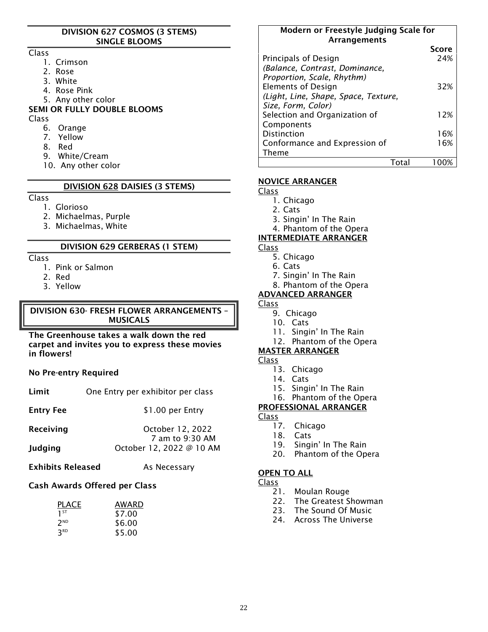#### DIVISION 627 COSMOS (3 STEMS) SINGLE BLOOMS

#### Class

- 1. Crimson
- 2. Rose
- 3. White
- 4. Rose Pink
- 5. Any other color

### SEMI OR FULLY DOUBLE BLOOMS

#### Class

- 6. Orange
- 7. Yellow
- 8. Red
- 9. White/Cream
- 10. Any other color

#### DIVISION 628 DAISIES (3 STEMS)

#### Class

- 1. Glorioso
- 2. Michaelmas, Purple
- 3. Michaelmas, White

#### DIVISION 629 GERBERAS (1 STEM)

#### Class

- 1. Pink or Salmon
- 2. Red
- 3. Yellow

#### DIVISION 630- FRESH FLOWER ARRANGEMENTS – MUSICALS

The Greenhouse takes a walk down the red carpet and invites you to express these movies in flowers!

#### No Pre-entry Required

| Limit | One Entry per exhibitor per class |  |
|-------|-----------------------------------|--|
|-------|-----------------------------------|--|

Entry Fee \$1.00 per Entry

Receiving **CELL COLLEGAN Receiving** CCtober 12, 2022 7 am to 9:30 AM Judging October 12, 2022 @ 10 AM

**Exhibits Released** As Necessary

#### Cash Awards Offered per Class

| <b>PLACE</b>    | AWARD  |
|-----------------|--------|
| 1 <sup>ST</sup> | \$7.00 |
| 2 <sup>ND</sup> | \$6.00 |
| 3 <sub>RD</sub> | \$5.00 |

#### Modern or Freestyle Judging Scale for Arrangements

|                                      | Score |
|--------------------------------------|-------|
| Principals of Design                 | 24%   |
| (Balance, Contrast, Dominance,       |       |
| Proportion, Scale, Rhythm)           |       |
| <b>Elements of Design</b>            | 32%   |
| (Light, Line, Shape, Space, Texture, |       |
| Size, Form, Color)                   |       |
| Selection and Organization of        | 12%   |
| Components                           |       |
| <b>Distinction</b>                   | 16%   |
| Conformance and Expression of        | 16%   |
| <b>Theme</b>                         |       |
|                                      |       |

#### NOVICE ARRANGER

Class

- 1. Chicago
- 2. Cats
- 3. Singin' In The Rain
- 4. Phantom of the Opera

#### INTERMEDIATE ARRANGER

#### Class

- 5. Chicago
- 6. Cats
- 7. Singin' In The Rain
- 8. Phantom of the Opera

#### ADVANCED ARRANGER

### Class

- 9. Chicago
- 10. Cats
- 11. Singin' In The Rain
- 12. Phantom of the Opera

#### MASTER ARRANGER

#### Class

- 13. Chicago
- 14. Cats
- 15. Singin' In The Rain
- 16. Phantom of the Opera
- PROFESSIONAL ARRANGER

### Class

- 17. Chicago
- 18. Cats
- 19. Singin' In The Rain
- 20. Phantom of the Opera

#### OPEN TO ALL

- 21. Moulan Rouge
- 22. The Greatest Showman
- 23. The Sound Of Music
- 24. Across The Universe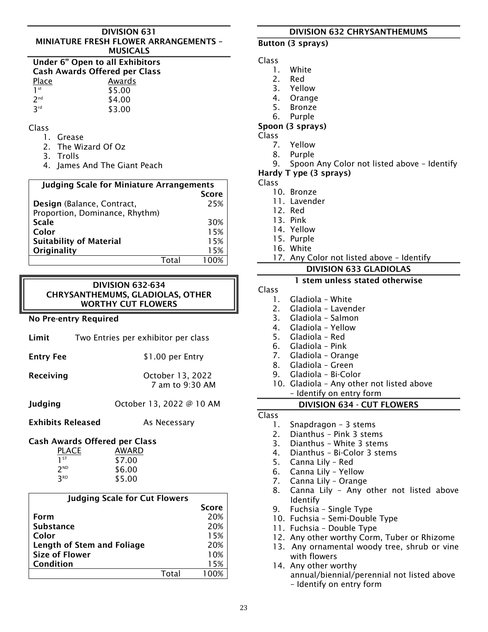#### DIVISION 631 MINIATURE FRESH FLOWER ARRANGEMENTS – MUSICALS

| Under 6" Open to all Exhibitors      |        |  |
|--------------------------------------|--------|--|
| <b>Cash Awards Offered per Class</b> |        |  |
| Place                                | Awards |  |
| 1 <sup>st</sup>                      | \$5.00 |  |
| 2 <sub>nd</sub>                      | \$4.00 |  |
| 2 <sup>rd</sup>                      | \$3.00 |  |

#### Class

- 1. Grease
- 2. The Wizard Of Oz
- 3. Trolls
- 4. James And The Giant Peach

| <b>Judging Scale for Miniature Arrangements</b> |              |  |
|-------------------------------------------------|--------------|--|
|                                                 | <b>Score</b> |  |
| Design (Balance, Contract,                      | 25%          |  |
| Proportion, Dominance, Rhythm)                  |              |  |
| <b>Scale</b>                                    | 30%          |  |
| Color                                           | 15%          |  |
| <b>Suitability of Material</b>                  | 15%          |  |
| Originality                                     | 15%          |  |
|                                                 |              |  |

### DIVISION 632-634 CHRYSANTHEMUMS, GLADIOLAS, OTHER WORTHY CUT FLOWERS

#### No Pre-entry Required

| Limit            | Two Entries per exhibitor per class |
|------------------|-------------------------------------|
| <b>Entry Fee</b> | \$1.00 per Entry                    |
| Receiving        | October 13, 2022<br>7 am to 9:30 AM |

Judging October 13, 2022 @ 10 AM

#### Exhibits Released As Necessary

### Cash Awards Offered per Class

| <b>PLACE</b>    | AWARD  |
|-----------------|--------|
| 1 <sup>ST</sup> | \$7.00 |
| 2 <sup>ND</sup> | \$6.00 |
| 3 <sub>RD</sub> | \$5.00 |

| <b>Judging Scale for Cut Flowers</b> |          |              |
|--------------------------------------|----------|--------------|
|                                      |          | <b>Score</b> |
| Form                                 |          | 20%          |
| <b>Substance</b>                     |          | 20%          |
| Color                                |          | 15%          |
| Length of Stem and Foliage           |          | 20%          |
| <b>Size of Flower</b>                |          | 10%          |
| Condition                            |          | 15%          |
|                                      | $T$ ntal |              |

### DIVISION 632 CHRYSANTHEMUMS

#### Button (3 sprays)

#### Class

- 1. White
- 2. Red
- 3. Yellow
- 4. Orange
- 5. Bronze
- 6. Purple

### Spoon (3 sprays)

Class

- 7. Yellow
- 8. Purple
- 9. Spoon Any Color not listed above Identify

#### Hardy T ype (3 sprays)

Class

- 10. Bronze
- 11. Lavender
- 12. Red
- 13. Pink
- 14. Yellow
- 15. Purple
- 16. White
- 17. Any Color not listed above Identify

### DIVISION 633 GLADIOLAS

#### 1 stem unless stated otherwise

- Class
	- 1. Gladiola White
	- 2. Gladiola Lavender
	- 3. Gladiola Salmon
	- 4. Gladiola Yellow
	- 5. Gladiola Red
	- 6. Gladiola Pink
	- 7. Gladiola Orange
	- 8. Gladiola Green
	- 9. Gladiola Bi-Color
	- 10. Gladiola Any other not listed above – Identify on entry form

#### DIVISION 634 - CUT FLOWERS

- 1. Snapdragon 3 stems
- 2. Dianthus Pink 3 stems
- 3. Dianthus White 3 stems
- 4. Dianthus Bi-Color 3 stems
- 5. Canna Lily Red
- 6. Canna Lily Yellow
- 7. Canna Lily Orange
- 8. Canna Lily Any other not listed above Identify
- 9. Fuchsia Single Type
- 10. Fuchsia Semi-Double Type
- 11. Fuchsia Double Type
- 12. Any other worthy Corm, Tuber or Rhizome
- 13. Any ornamental woody tree, shrub or vine with flowers
- 14. Any other worthy annual/biennial/perennial not listed above – Identify on entry form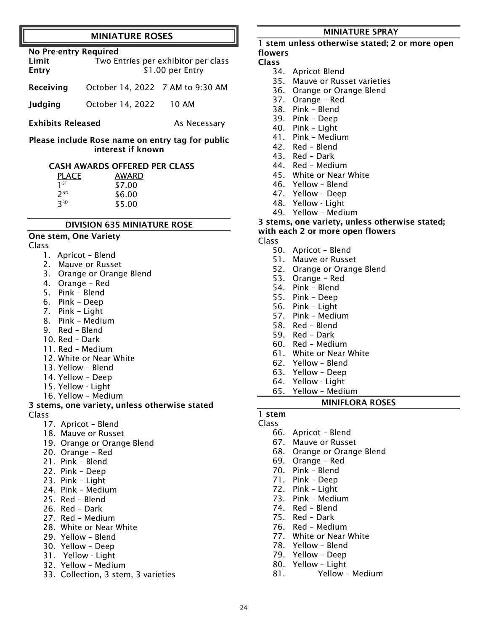#### MINIATURE ROSES

| <b>No Pre-entry Required</b><br>Limit<br>Two Entries per exhibitor per class |                                  |       |  |
|------------------------------------------------------------------------------|----------------------------------|-------|--|
| Entry                                                                        | \$1.00 per Entry                 |       |  |
| Receiving                                                                    | October 14, 2022 7 AM to 9:30 AM |       |  |
| <b>Judging</b>                                                               | October 14, 2022                 | 10 AM |  |
|                                                                              |                                  |       |  |

**Exhibits Released As Necessary** 

Please include Rose name on entry tag for public interest if known

#### CASH AWARDS OFFERED PER CLASS

| <b>PLACE</b>    | AWARD  |  |  |
|-----------------|--------|--|--|
| $1^{ST}$        | \$7.00 |  |  |
| 2 <sup>ND</sup> | \$6.00 |  |  |
| <b>3RD</b>      | \$5.00 |  |  |

#### DIVISION 635 MINIATURE ROSE

#### One stem, One Variety

#### Class

- 1. Apricot Blend
- 2. Mauve or Russet
- 3. Orange or Orange Blend
- 4. Orange Red
- 5. Pink Blend
- 6. Pink Deep
- 7. Pink Light
- 8. Pink Medium
- 9. Red Blend
- 10. Red Dark
- 11. Red Medium
- 12. White or Near White
- 13. Yellow Blend
- 14. Yellow Deep
- 15. Yellow Light
- 16. Yellow Medium

#### 3 stems, one variety, unless otherwise stated Class

- 17. Apricot Blend
- 18. Mauve or Russet
- 19. Orange or Orange Blend
- 20. Orange Red
- 21. Pink Blend
- 22. Pink Deep
- 23. Pink Light
- 24. Pink Medium
- 25. Red Blend
- 26. Red Dark
- 27. Red Medium
- 28. White or Near White
- 29. Yellow Blend
- 30. Yellow Deep
- 31. Yellow Light
- 32. Yellow Medium
- 33. Collection, 3 stem, 3 varieties

#### MINIATURE SPRAY

#### 1 stem unless otherwise stated; 2 or more open flowers

#### Class

- 34. Apricot Blend
- 35. Mauve or Russet varieties
- 36. Orange or Orange Blend
- 37. Orange Red
- 38. Pink Blend
- 39. Pink Deep
- 40. Pink Light
- 41. Pink Medium
- 42. Red Blend
- 43. Red Dark
- 44. Red Medium
- 45. White or Near White
- 46. Yellow Blend
- 47. Yellow Deep
- 48. Yellow Light
- 49. Yellow Medium

#### 3 stems, one variety, unless otherwise stated;

#### with each 2 or more open flowers

Class

- 50. Apricot Blend
- 51. Mauve or Russet
- 52. Orange or Orange Blend
- 53. Orange Red
- 54. Pink Blend
- 55. Pink Deep
- 56. Pink Light
- 57. Pink Medium
- 58. Red Blend
- 59. Red Dark
- 60. Red Medium
- 61. White or Near White
- 62. Yellow Blend
- 63. Yellow Deep
- 64. Yellow Light
- 65. Yellow Medium

#### MINIFLORA ROSES

### 1 stem

### Class

24

- 66. Apricot Blend
- 67. Mauve or Russet
- 68. Orange or Orange Blend
- 69. Orange Red
- 70. Pink Blend
- 71. Pink Deep
- 72. Pink Light
- 73. Pink Medium
- 74. Red Blend
- 75. Red Dark
- 76. Red Medium
- 77. White or Near White
- 78. Yellow Blend
- 79. Yellow Deep
- 80. Yellow Light
- 81. Yellow Medium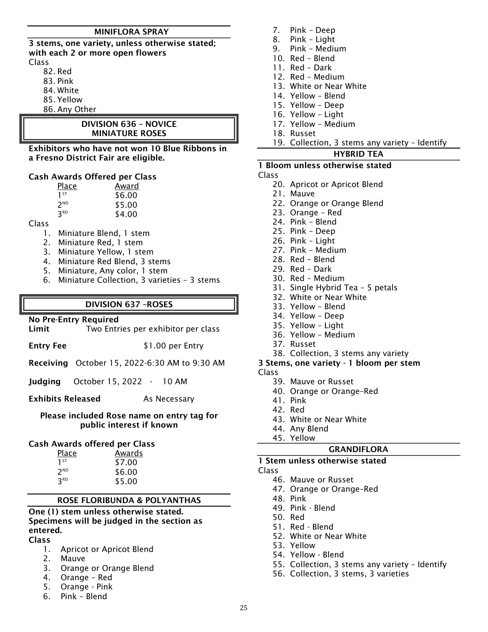#### MINIFLORA SPRAY

3 stems, one variety, unless otherwise stated; with each 2 or more open flowers Class

- - 82. Red
	- 83. Pink
	- 84. White
	- 85. Yellow
	- 86. Any Other

#### DIVISION 636 – NOVICE MINIATURE ROSES

Exhibitors who have not won 10 Blue Ribbons in a Fresno District Fair are eligible.

#### Cash Awards Offered per Class

| Place           | Award  |  |  |
|-----------------|--------|--|--|
| 1 <sup>ST</sup> | \$6.00 |  |  |
| 2 <sup>ND</sup> | \$5.00 |  |  |
| 3 <sup>RD</sup> | \$4.00 |  |  |

#### Class

- 1. Miniature Blend, 1 stem
- 2. Miniature Red, 1 stem
- 3. Miniature Yellow, 1 stem
- 4. Miniature Red Blend, 3 stems
- 5. Miniature, Any color, 1 stem
- 6. Miniature Collection, 3 varieties 3 stems

#### DIVISION 637 –ROSES

#### No Pre-Entry Required

| Limit |  |  |  | Two Entries per exhibitor per class |  |  |
|-------|--|--|--|-------------------------------------|--|--|
|-------|--|--|--|-------------------------------------|--|--|

Entry Fee \$1.00 per Entry

Receiving October 15, 2022-6:30 AM to 9:30 AM

Judging October 15, 2022 - 10 AM

Exhibits Released As Necessary

#### Please included Rose name on entry tag for public interest if known

#### Cash Awards offered per Class

| Place           | Awards |
|-----------------|--------|
| 1 <sup>ST</sup> | \$7.00 |
| 2 <sup>ND</sup> | \$6.00 |
| <b>3RD</b>      | \$5.00 |

#### ROSE FLORIBUNDA & POLYANTHAS

#### One (1) stem unless otherwise stated. Specimens will be judged in the section as entered.

#### Class

- 1. Apricot or Apricot Blend
- 2. Mauve
- 3. Orange or Orange Blend
- 4. Orange Red
- 5. Orange Pink
- 6. Pink Blend
- 7. Pink Deep
- 8. Pink Light
- 9. Pink Medium
- 10. Red Blend
- 11. Red Dark
- 12. Red Medium
- 13. White or Near White
- 14. Yellow Blend
- 15. Yellow Deep
- 16. Yellow Light
- 17. Yellow Medium
- 18. Russet
- 19. Collection, 3 stems any variety Identify

#### HYBRID TEA

#### 1 Bloom unless otherwise stated

#### Class

- 20. Apricot or Apricot Blend
- 21. Mauve
- 22. Orange or Orange Blend
- 23. Orange Red
- 24. Pink Blend
- 25. Pink Deep
- 26. Pink Light
- 27. Pink Medium
- 28. Red Blend
- 29. Red Dark
- 30. Red Medium
- 31. Single Hybrid Tea 5 petals
- 32. White or Near White
- 33. Yellow Blend
- 34. Yellow Deep
- 35. Yellow Light
- 36. Yellow Medium
- 37. Russet
- 38. Collection, 3 stems any variety

#### 3 Stems, one variety - 1 bloom per stem

- Class
	- 39. Mauve or Russet
	- 40. Orange or Orange–Red
	- 41. Pink
	- 42. Red
	- 43. White or Near White
	- 44. Any Blend
	- 45. Yellow

#### GRANDIFLORA

### 1 Stem unless otherwise stated

- Class
	- 46. Mauve or Russet
	- 47. Orange or Orange–Red
	- 48. Pink
	- 49. Pink Blend
	- 50. Red
	- 51. Red Blend
	- 52. White or Near White
	- 53. Yellow
	- 54. Yellow Blend
	- 55. Collection, 3 stems any variety Identify
	- 56. Collection, 3 stems, 3 varieties